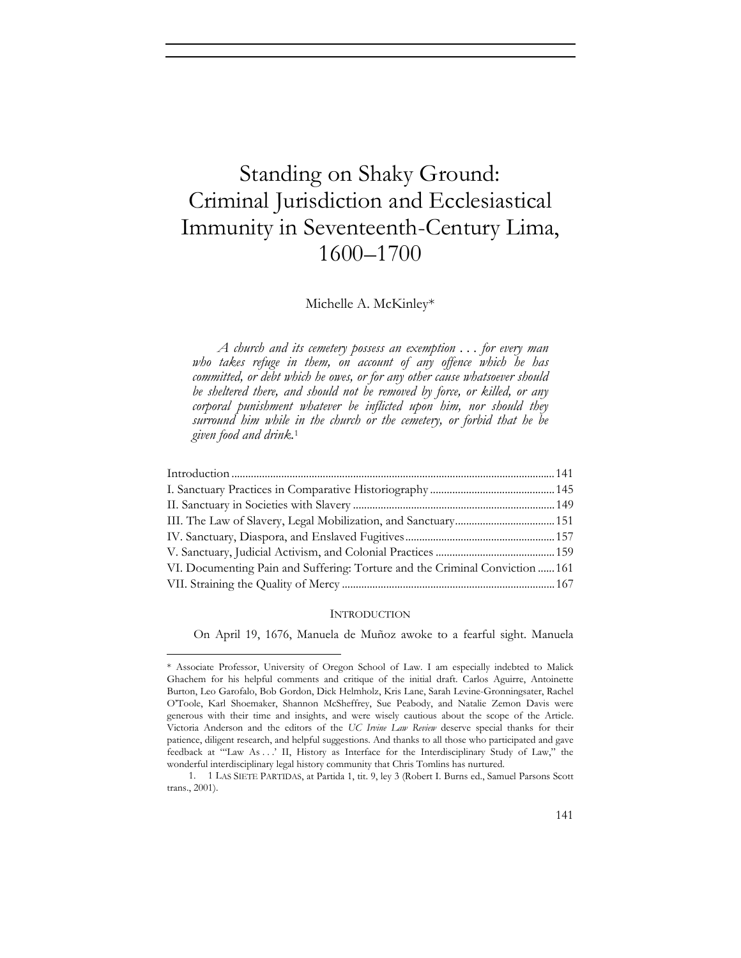# Standing on Shaky Ground: Criminal Jurisdiction and Ecclesiastical Immunity in Seventeenth-Century Lima, 1600–1700

### Michelle A. McKinley\*

*A church and its cemetery possess an exemption . . . for every man who takes refuge in them, on account of any offence which he has committed, or debt which he owes, or for any other cause whatsoever should be sheltered there, and should not be removed by force, or killed, or any corporal punishment whatever be inflicted upon him, nor should they surround him while in the church or the cemetery, or forbid that he be given food and drink.*<sup>1</sup>

| VI. Documenting Pain and Suffering: Torture and the Criminal Conviction  161 |  |
|------------------------------------------------------------------------------|--|
|                                                                              |  |

#### **INTRODUCTION**

On April 19, 1676, Manuela de Muñoz awoke to a fearful sight. Manuela

<sup>\*</sup> Associate Professor, University of Oregon School of Law. I am especially indebted to Malick Ghachem for his helpful comments and critique of the initial draft. Carlos Aguirre, Antoinette Burton, Leo Garofalo, Bob Gordon, Dick Helmholz, Kris Lane, Sarah Levine-Gronningsater, Rachel O'Toole, Karl Shoemaker, Shannon McSheffrey, Sue Peabody, and Natalie Zemon Davis were generous with their time and insights, and were wisely cautious about the scope of the Article. Victoria Anderson and the editors of the *UC Irvine Law Review* deserve special thanks for their patience, diligent research, and helpful suggestions. And thanks to all those who participated and gave feedback at "'Law As . . .' II, History as Interface for the Interdisciplinary Study of Law," the wonderful interdisciplinary legal history community that Chris Tomlins has nurtured.

<sup>1. 1</sup> LAS SIETE PARTIDAS, at Partida 1, tit. 9, ley 3 (Robert I. Burns ed., Samuel Parsons Scott trans., 2001).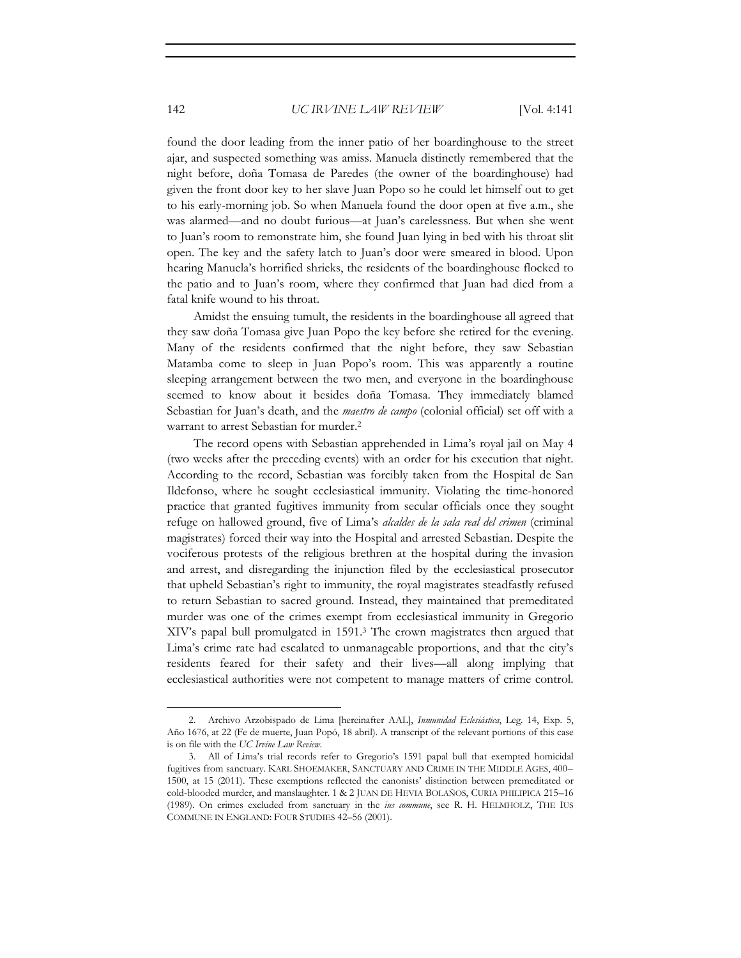found the door leading from the inner patio of her boardinghouse to the street ajar, and suspected something was amiss. Manuela distinctly remembered that the night before, doña Tomasa de Paredes (the owner of the boardinghouse) had given the front door key to her slave Juan Popo so he could let himself out to get to his early-morning job. So when Manuela found the door open at five a.m., she was alarmed—and no doubt furious—at Juan's carelessness. But when she went to Juan's room to remonstrate him, she found Juan lying in bed with his throat slit open. The key and the safety latch to Juan's door were smeared in blood. Upon hearing Manuela's horrified shrieks, the residents of the boardinghouse flocked to the patio and to Juan's room, where they confirmed that Juan had died from a fatal knife wound to his throat.

Amidst the ensuing tumult, the residents in the boardinghouse all agreed that they saw doña Tomasa give Juan Popo the key before she retired for the evening. Many of the residents confirmed that the night before, they saw Sebastian Matamba come to sleep in Juan Popo's room. This was apparently a routine sleeping arrangement between the two men, and everyone in the boardinghouse seemed to know about it besides doña Tomasa. They immediately blamed Sebastian for Juan's death, and the *maestro de campo* (colonial official) set off with a warrant to arrest Sebastian for murder.2

The record opens with Sebastian apprehended in Lima's royal jail on May 4 (two weeks after the preceding events) with an order for his execution that night. According to the record, Sebastian was forcibly taken from the Hospital de San Ildefonso, where he sought ecclesiastical immunity. Violating the time-honored practice that granted fugitives immunity from secular officials once they sought refuge on hallowed ground, five of Lima's *alcaldes de la sala real del crimen* (criminal magistrates) forced their way into the Hospital and arrested Sebastian. Despite the vociferous protests of the religious brethren at the hospital during the invasion and arrest, and disregarding the injunction filed by the ecclesiastical prosecutor that upheld Sebastian's right to immunity, the royal magistrates steadfastly refused to return Sebastian to sacred ground. Instead, they maintained that premeditated murder was one of the crimes exempt from ecclesiastical immunity in Gregorio XIV's papal bull promulgated in 1591.3 The crown magistrates then argued that Lima's crime rate had escalated to unmanageable proportions, and that the city's residents feared for their safety and their lives—all along implying that ecclesiastical authorities were not competent to manage matters of crime control.

<sup>2.</sup> Archivo Arzobispado de Lima [hereinafter AAL], *Inmunidad Eclesiástica*, Leg. 14, Exp. 5, Año 1676, at 22 (Fe de muerte, Juan Popó, 18 abril). A transcript of the relevant portions of this case is on file with the *UC Irvine Law Review*.

<sup>3.</sup> All of Lima's trial records refer to Gregorio's 1591 papal bull that exempted homicidal fugitives from sanctuary. KARL SHOEMAKER, SANCTUARY AND CRIME IN THE MIDDLE AGES, 400– 1500, at 15 (2011). These exemptions reflected the canonists' distinction between premeditated or cold-blooded murder, and manslaughter. 1 & 2 JUAN DE HEVIA BOLAÑOS, CURIA PHILIPICA 215–16 (1989). On crimes excluded from sanctuary in the *ius commune*, see R. H. HELMHOLZ, THE IUS COMMUNE IN ENGLAND: FOUR STUDIES 42–56 (2001).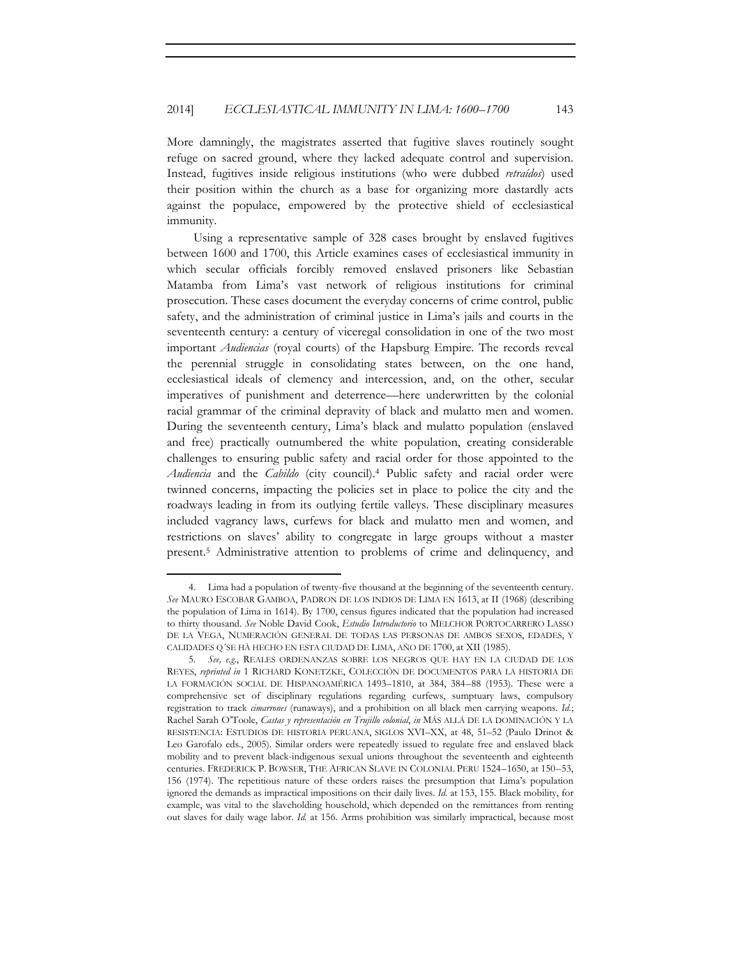More damningly, the magistrates asserted that fugitive slaves routinely sought refuge on sacred ground, where they lacked adequate control and supervision. Instead, fugitives inside religious institutions (who were dubbed *retraídos*) used their position within the church as a base for organizing more dastardly acts against the populace, empowered by the protective shield of ecclesiastical immunity.

Using a representative sample of 328 cases brought by enslaved fugitives between 1600 and 1700, this Article examines cases of ecclesiastical immunity in which secular officials forcibly removed enslaved prisoners like Sebastian Matamba from Lima's vast network of religious institutions for criminal prosecution. These cases document the everyday concerns of crime control, public safety, and the administration of criminal justice in Lima's jails and courts in the seventeenth century: a century of viceregal consolidation in one of the two most important *Audiencias* (royal courts) of the Hapsburg Empire. The records reveal the perennial struggle in consolidating states between, on the one hand, ecclesiastical ideals of clemency and intercession, and, on the other, secular imperatives of punishment and deterrence—here underwritten by the colonial racial grammar of the criminal depravity of black and mulatto men and women. During the seventeenth century, Lima's black and mulatto population (enslaved and free) practically outnumbered the white population, creating considerable challenges to ensuring public safety and racial order for those appointed to the *Audiencia* and the *Cabildo* (city council).4 Public safety and racial order were twinned concerns, impacting the policies set in place to police the city and the roadways leading in from its outlying fertile valleys. These disciplinary measures included vagrancy laws, curfews for black and mulatto men and women, and restrictions on slaves' ability to congregate in large groups without a master present.5 Administrative attention to problems of crime and delinquency, and

<sup>4.</sup> Lima had a population of twenty-five thousand at the beginning of the seventeenth century. *See* MAURO ESCOBAR GAMBOA, PADRON DE LOS INDIOS DE LIMA EN 1613, at II (1968) (describing the population of Lima in 1614). By 1700, census figures indicated that the population had increased to thirty thousand. *See* Noble David Cook, *Estudio Introductorio* to MELCHOR PORTOCARRERO LASSO DE LA VEGA, NUMERACIÓN GENERAL DE TODAS LAS PERSONAS DE AMBOS SEXOS, EDADES, Y CALIDADES Q´SE HÀ HECHO EN ESTA CIUDAD DE LIMA, AÑO DE 1700, at XII (1985).

<sup>5</sup>*. See, e.g.*, REALES ORDENANZAS SOBRE LOS NEGROS QUE HAY EN LA CIUDAD DE LOS REYES, *reprinted in* 1 RICHARD KONETZKE, COLECCIÓN DE DOCUMENTOS PARA LA HISTORIA DE LA FORMACIÓN SOCIAL DE HISPANOAMÉRICA 1493–1810, at 384, 384–88 (1953). These were a comprehensive set of disciplinary regulations regarding curfews, sumptuary laws, compulsory registration to track *cimarrones* (runaways), and a prohibition on all black men carrying weapons. *Id.*; Rachel Sarah O'Toole, *Castas y representación en Trujillo colonial*, *in* MÁS ALLÁ DE LA DOMINACIÓN Y LA RESISTENCIA: ESTUDIOS DE HISTORIA PERUANA, SIGLOS XVI–XX, at 48, 51–52 (Paulo Drinot & Leo Garofalo eds., 2005). Similar orders were repeatedly issued to regulate free and enslaved black mobility and to prevent black-indigenous sexual unions throughout the seventeenth and eighteenth centuries. FREDERICK P. BOWSER, THE AFRICAN SLAVE IN COLONIAL PERU 1524–1650, at 150–53, 156 (1974). The repetitious nature of these orders raises the presumption that Lima's population ignored the demands as impractical impositions on their daily lives. *Id.* at 153, 155. Black mobility, for example, was vital to the slaveholding household, which depended on the remittances from renting out slaves for daily wage labor. *Id.* at 156. Arms prohibition was similarly impractical, because most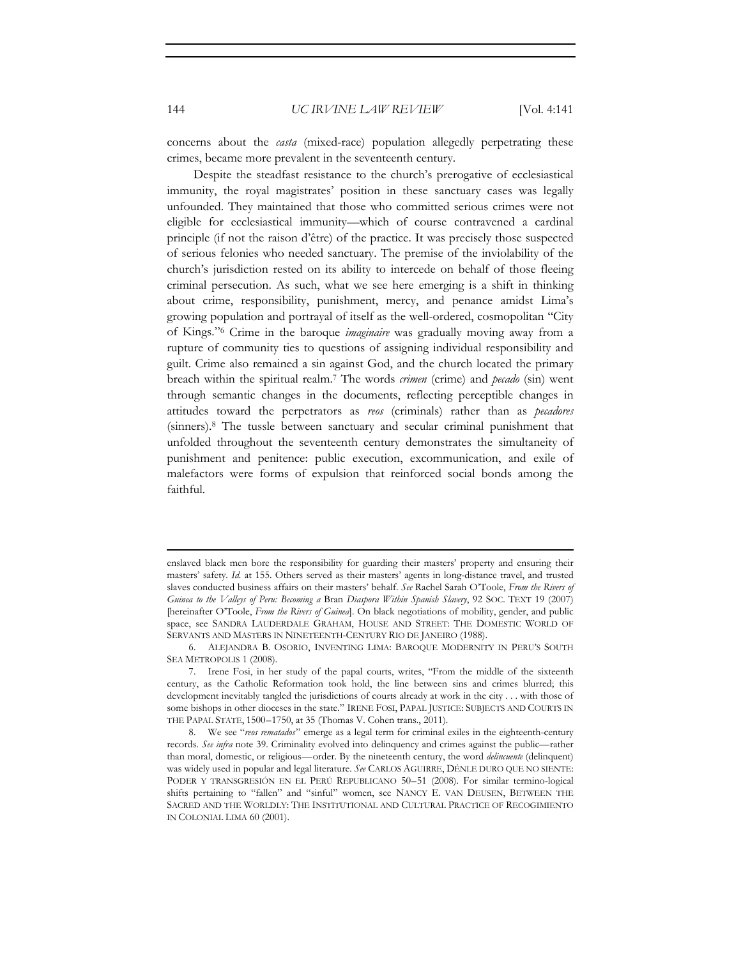concerns about the *casta* (mixed-race) population allegedly perpetrating these crimes, became more prevalent in the seventeenth century.

Despite the steadfast resistance to the church's prerogative of ecclesiastical immunity, the royal magistrates' position in these sanctuary cases was legally unfounded. They maintained that those who committed serious crimes were not eligible for ecclesiastical immunity—which of course contravened a cardinal principle (if not the raison d'être) of the practice. It was precisely those suspected of serious felonies who needed sanctuary. The premise of the inviolability of the church's jurisdiction rested on its ability to intercede on behalf of those fleeing criminal persecution. As such, what we see here emerging is a shift in thinking about crime, responsibility, punishment, mercy, and penance amidst Lima's growing population and portrayal of itself as the well-ordered, cosmopolitan "City of Kings."6 Crime in the baroque *imaginaire* was gradually moving away from a rupture of community ties to questions of assigning individual responsibility and guilt. Crime also remained a sin against God, and the church located the primary breach within the spiritual realm.7 The words *crimen* (crime) and *pecado* (sin) went through semantic changes in the documents, reflecting perceptible changes in attitudes toward the perpetrators as *reos* (criminals) rather than as *pecadores* (sinners).8 The tussle between sanctuary and secular criminal punishment that unfolded throughout the seventeenth century demonstrates the simultaneity of punishment and penitence: public execution, excommunication, and exile of malefactors were forms of expulsion that reinforced social bonds among the faithful.

<u> 1989 - Johann Stein, marwolaethau a bhann an t-Amhain Aonaichte ann an t-Amhain Aonaichte ann an t-Amhain Aon</u>

enslaved black men bore the responsibility for guarding their masters' property and ensuring their masters' safety. *Id.* at 155. Others served as their masters' agents in long-distance travel, and trusted slaves conducted business affairs on their masters' behalf. *See* Rachel Sarah O'Toole, *From the Rivers of Guinea to the Valleys of Peru: Becoming a* Bran *Diaspora Within Spanish Slavery*, 92 SOC. TEXT 19 (2007) [hereinafter O'Toole, *From the Rivers of Guinea*]. On black negotiations of mobility, gender, and public space, see SANDRA LAUDERDALE GRAHAM, HOUSE AND STREET: THE DOMESTIC WORLD OF SERVANTS AND MASTERS IN NINETEENTH-CENTURY RIO DE JANEIRO (1988).

<sup>6.</sup> ALEJANDRA B. OSORIO, INVENTING LIMA: BAROQUE MODERNITY IN PERU'S SOUTH SEA METROPOLIS 1 (2008).

<sup>7.</sup> Irene Fosi, in her study of the papal courts, writes, "From the middle of the sixteenth century, as the Catholic Reformation took hold, the line between sins and crimes blurred; this development inevitably tangled the jurisdictions of courts already at work in the city . . . with those of some bishops in other dioceses in the state." IRENE FOSI, PAPAL JUSTICE: SUBJECTS AND COURTS IN THE PAPAL STATE, 1500–1750, at 35 (Thomas V. Cohen trans., 2011).

<sup>8.</sup> We see "*reos rematados*" emerge as a legal term for criminal exiles in the eighteenth-century records. *See infra* note 39. Criminality evolved into delinquency and crimes against the public—rather than moral, domestic, or religious—order. By the nineteenth century, the word *delincuente* (delinquent) was widely used in popular and legal literature. *See* CARLOS AGUIRRE, DÉNLE DURO QUE NO SIENTE: PODER Y TRANSGRESIÓN EN EL PERÚ REPUBLICANO 50–51 (2008). For similar termino-logical shifts pertaining to "fallen" and "sinful" women, see NANCY E. VAN DEUSEN, BETWEEN THE SACRED AND THE WORLDLY: THE INSTITUTIONAL AND CULTURAL PRACTICE OF RECOGIMIENTO IN COLONIAL LIMA 60 (2001).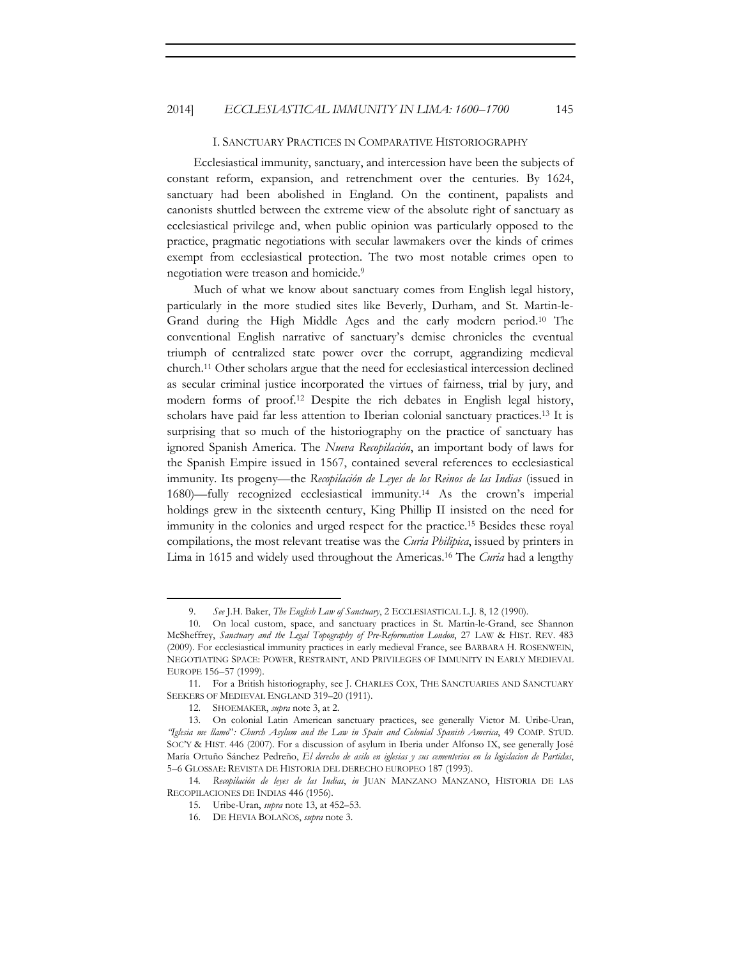#### I. SANCTUARY PRACTICES IN COMPARATIVE HISTORIOGRAPHY

Ecclesiastical immunity, sanctuary, and intercession have been the subjects of constant reform, expansion, and retrenchment over the centuries. By 1624, sanctuary had been abolished in England. On the continent, papalists and canonists shuttled between the extreme view of the absolute right of sanctuary as ecclesiastical privilege and, when public opinion was particularly opposed to the practice, pragmatic negotiations with secular lawmakers over the kinds of crimes exempt from ecclesiastical protection. The two most notable crimes open to negotiation were treason and homicide.9

Much of what we know about sanctuary comes from English legal history, particularly in the more studied sites like Beverly, Durham, and St. Martin-le-Grand during the High Middle Ages and the early modern period.10 The conventional English narrative of sanctuary's demise chronicles the eventual triumph of centralized state power over the corrupt, aggrandizing medieval church.11 Other scholars argue that the need for ecclesiastical intercession declined as secular criminal justice incorporated the virtues of fairness, trial by jury, and modern forms of proof.12 Despite the rich debates in English legal history, scholars have paid far less attention to Iberian colonial sanctuary practices.13 It is surprising that so much of the historiography on the practice of sanctuary has ignored Spanish America. The *Nueva Recopilación*, an important body of laws for the Spanish Empire issued in 1567, contained several references to ecclesiastical immunity. Its progeny—the *Recopilación de Leyes de los Reinos de las Indias* (issued in 1680)—fully recognized ecclesiastical immunity.14 As the crown's imperial holdings grew in the sixteenth century, King Phillip II insisted on the need for immunity in the colonies and urged respect for the practice.15 Besides these royal compilations, the most relevant treatise was the *Curia Philipica*, issued by printers in Lima in 1615 and widely used throughout the Americas.16 The *Curia* had a lengthy

<sup>9.</sup> *See* J.H. Baker, *The English Law of Sanctuary*, 2 ECCLESIASTICAL L.J. 8, 12 (1990).

<sup>10.</sup> On local custom, space, and sanctuary practices in St. Martin-le-Grand, see Shannon McSheffrey, *Sanctuary and the Legal Topography of Pre-Reformation London*, 27 LAW & HIST. REV. 483 (2009). For ecclesiastical immunity practices in early medieval France, see BARBARA H. ROSENWEIN, NEGOTIATING SPACE: POWER, RESTRAINT, AND PRIVILEGES OF IMMUNITY IN EARLY MEDIEVAL EUROPE 156–57 (1999).

<sup>11.</sup> For a British historiography, see J. CHARLES COX, THE SANCTUARIES AND SANCTUARY SEEKERS OF MEDIEVAL ENGLAND 319–20 (1911).

<sup>12.</sup> SHOEMAKER, *supra* note 3, at 2.

<sup>13.</sup> On colonial Latin American sanctuary practices, see generally Victor M. Uribe-Uran, *"Iglesia me llamo*"*: Church Asylum and the Law in Spain and Colonial Spanish America*, 49 COMP. STUD. SOC'Y & HIST. 446 (2007). For a discussion of asylum in Iberia under Alfonso IX, see generally José María Ortuño Sánchez Pedreño, *El derecho de asilo en iglesias y sus cementerios en la legislacion de Partidas*, 5–6 GLOSSAE: REVISTA DE HISTORIA DEL DERECHO EUROPEO 187 (1993).

<sup>14</sup>*. Recopilación de leyes de las Indias*, *in* JUAN MANZANO MANZANO, HISTORIA DE LAS RECOPILACIONES DE INDIAS 446 (1956).

<sup>15.</sup> Uribe-Uran, *supra* note 13, at 452–53.

<sup>16.</sup> DE HEVIA BOLAÑOS, *supra* note 3.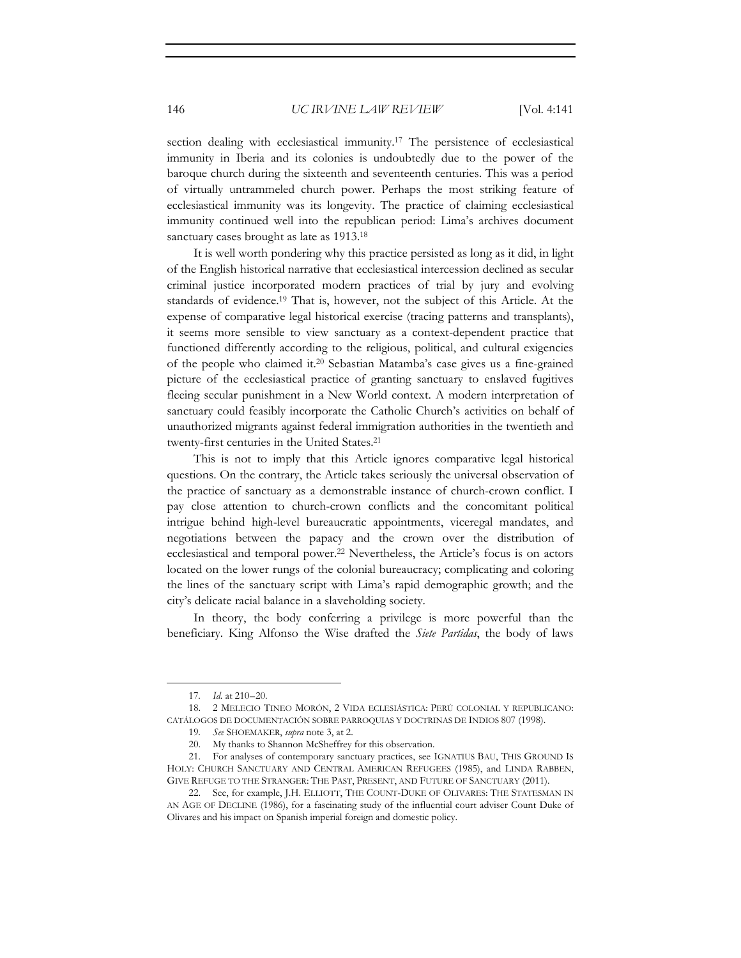section dealing with ecclesiastical immunity.17 The persistence of ecclesiastical immunity in Iberia and its colonies is undoubtedly due to the power of the baroque church during the sixteenth and seventeenth centuries. This was a period of virtually untrammeled church power. Perhaps the most striking feature of ecclesiastical immunity was its longevity. The practice of claiming ecclesiastical immunity continued well into the republican period: Lima's archives document sanctuary cases brought as late as  $1913.18$ 

It is well worth pondering why this practice persisted as long as it did, in light of the English historical narrative that ecclesiastical intercession declined as secular criminal justice incorporated modern practices of trial by jury and evolving standards of evidence.19 That is, however, not the subject of this Article. At the expense of comparative legal historical exercise (tracing patterns and transplants), it seems more sensible to view sanctuary as a context-dependent practice that functioned differently according to the religious, political, and cultural exigencies of the people who claimed it.20 Sebastian Matamba's case gives us a fine-grained picture of the ecclesiastical practice of granting sanctuary to enslaved fugitives fleeing secular punishment in a New World context. A modern interpretation of sanctuary could feasibly incorporate the Catholic Church's activities on behalf of unauthorized migrants against federal immigration authorities in the twentieth and twenty-first centuries in the United States.21

This is not to imply that this Article ignores comparative legal historical questions. On the contrary, the Article takes seriously the universal observation of the practice of sanctuary as a demonstrable instance of church-crown conflict. I pay close attention to church-crown conflicts and the concomitant political intrigue behind high-level bureaucratic appointments, viceregal mandates, and negotiations between the papacy and the crown over the distribution of ecclesiastical and temporal power.22 Nevertheless, the Article's focus is on actors located on the lower rungs of the colonial bureaucracy; complicating and coloring the lines of the sanctuary script with Lima's rapid demographic growth; and the city's delicate racial balance in a slaveholding society.

In theory, the body conferring a privilege is more powerful than the beneficiary. King Alfonso the Wise drafted the *Siete Partidas*, the body of laws

<sup>17</sup>*. Id.* at 210–20.

<sup>18. 2</sup> MELECIO TINEO MORÓN, 2 VIDA ECLESIÁSTICA: PERÚ COLONIAL Y REPUBLICANO: CATÁLOGOS DE DOCUMENTACIÓN SOBRE PARROQUIAS Y DOCTRINAS DE INDIOS 807 (1998).

<sup>19</sup>*. See* SHOEMAKER, *supra* note 3, at 2.

<sup>20.</sup> My thanks to Shannon McSheffrey for this observation.

<sup>21.</sup> For analyses of contemporary sanctuary practices, see IGNATIUS BAU, THIS GROUND IS HOLY: CHURCH SANCTUARY AND CENTRAL AMERICAN REFUGEES (1985), and LINDA RABBEN, GIVE REFUGE TO THE STRANGER: THE PAST, PRESENT, AND FUTURE OF SANCTUARY (2011).

<sup>22.</sup> See, for example, J.H. ELLIOTT, THE COUNT-DUKE OF OLIVARES: THE STATESMAN IN AN AGE OF DECLINE (1986), for a fascinating study of the influential court adviser Count Duke of Olivares and his impact on Spanish imperial foreign and domestic policy.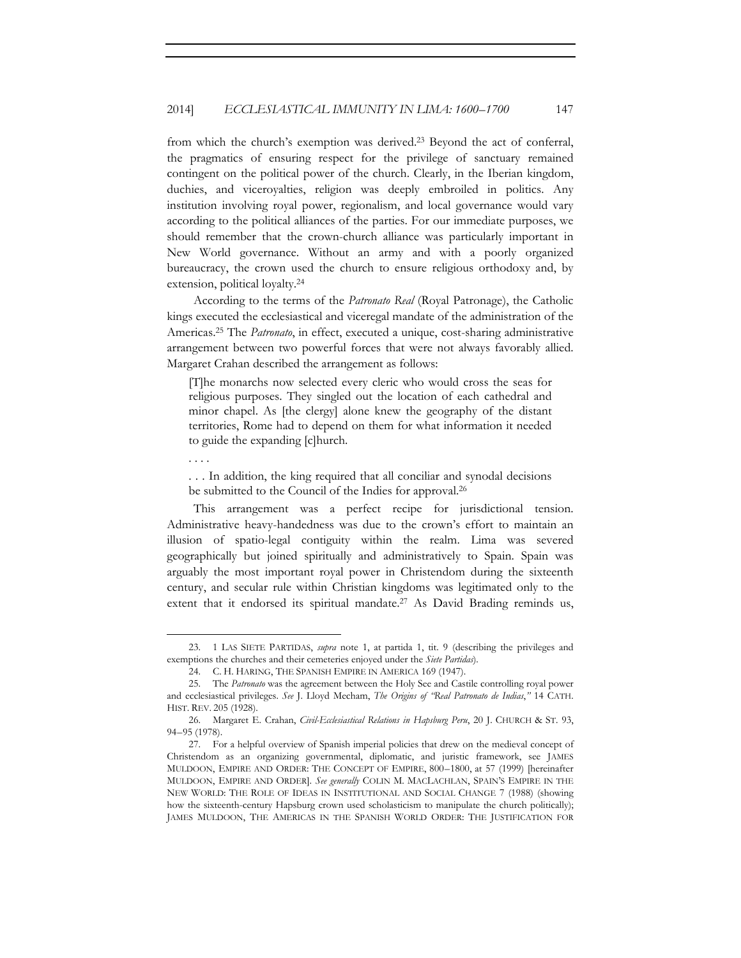from which the church's exemption was derived.23 Beyond the act of conferral, the pragmatics of ensuring respect for the privilege of sanctuary remained contingent on the political power of the church. Clearly, in the Iberian kingdom, duchies, and viceroyalties, religion was deeply embroiled in politics. Any institution involving royal power, regionalism, and local governance would vary according to the political alliances of the parties. For our immediate purposes, we should remember that the crown-church alliance was particularly important in New World governance. Without an army and with a poorly organized bureaucracy, the crown used the church to ensure religious orthodoxy and, by extension, political loyalty.24

According to the terms of the *Patronato Real* (Royal Patronage), the Catholic kings executed the ecclesiastical and viceregal mandate of the administration of the Americas.25 The *Patronato*, in effect, executed a unique, cost-sharing administrative arrangement between two powerful forces that were not always favorably allied. Margaret Crahan described the arrangement as follows:

[T]he monarchs now selected every cleric who would cross the seas for religious purposes. They singled out the location of each cathedral and minor chapel. As [the clergy] alone knew the geography of the distant territories, Rome had to depend on them for what information it needed to guide the expanding [c]hurch.

. . . .

. . . In addition, the king required that all conciliar and synodal decisions be submitted to the Council of the Indies for approval.26

This arrangement was a perfect recipe for jurisdictional tension. Administrative heavy-handedness was due to the crown's effort to maintain an illusion of spatio-legal contiguity within the realm. Lima was severed geographically but joined spiritually and administratively to Spain. Spain was arguably the most important royal power in Christendom during the sixteenth century, and secular rule within Christian kingdoms was legitimated only to the extent that it endorsed its spiritual mandate.<sup>27</sup> As David Brading reminds us,

<sup>23. 1</sup> LAS SIETE PARTIDAS, *supra* note 1, at partida 1, tit. 9 (describing the privileges and exemptions the churches and their cemeteries enjoyed under the *Siete Partidas*).

<sup>24.</sup> C. H. HARING, THE SPANISH EMPIRE IN AMERICA 169 (1947).

<sup>25.</sup> The *Patronato* was the agreement between the Holy See and Castile controlling royal power and ecclesiastical privileges. *See* J. Lloyd Mecham, *The Origins of "Real Patronato de Indias*,*"* 14 CATH. HIST. REV. 205 (1928).

<sup>26.</sup> Margaret E. Crahan, *Civil-Ecclesiastical Relations in Hapsburg Peru*, 20 J. CHURCH & ST. 93, 94–95 (1978).

<sup>27.</sup> For a helpful overview of Spanish imperial policies that drew on the medieval concept of Christendom as an organizing governmental, diplomatic, and juristic framework, see JAMES MULDOON, EMPIRE AND ORDER: THE CONCEPT OF EMPIRE, 800–1800, at 57 (1999) [hereinafter MULDOON, EMPIRE AND ORDER]. *See generally* COLIN M. MACLACHLAN, SPAIN'S EMPIRE IN THE NEW WORLD: THE ROLE OF IDEAS IN INSTITUTIONAL AND SOCIAL CHANGE 7 (1988) (showing how the sixteenth-century Hapsburg crown used scholasticism to manipulate the church politically); JAMES MULDOON, THE AMERICAS IN THE SPANISH WORLD ORDER: THE JUSTIFICATION FOR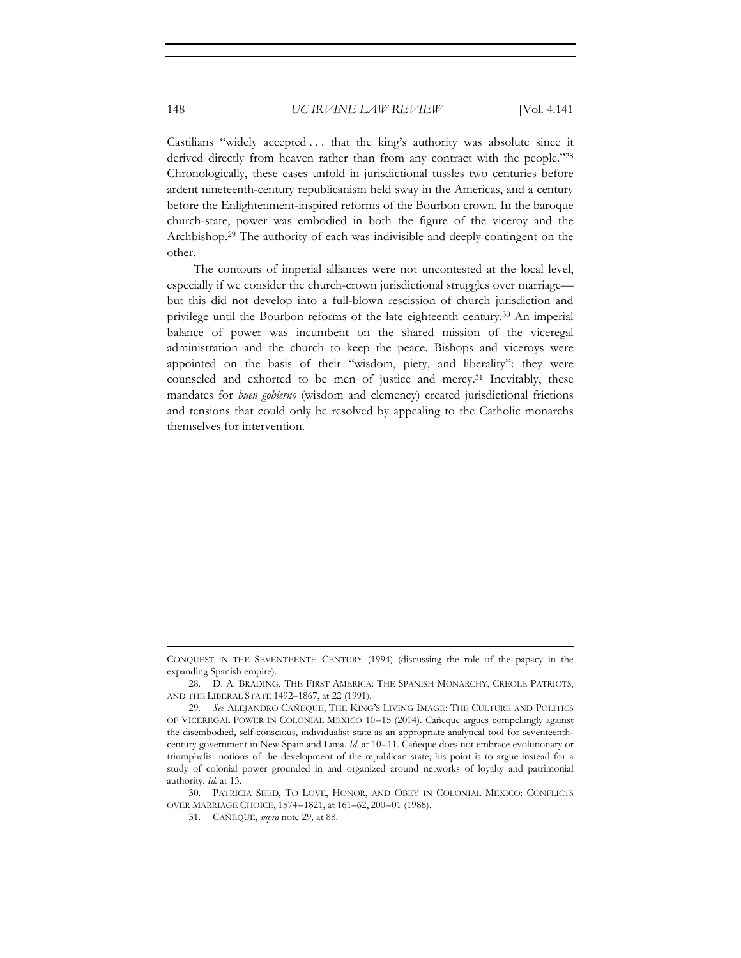Castilians "widely accepted . . . that the king's authority was absolute since it derived directly from heaven rather than from any contract with the people."28 Chronologically, these cases unfold in jurisdictional tussles two centuries before ardent nineteenth-century republicanism held sway in the Americas, and a century before the Enlightenment-inspired reforms of the Bourbon crown. In the baroque church-state, power was embodied in both the figure of the viceroy and the Archbishop.29 The authority of each was indivisible and deeply contingent on the other.

The contours of imperial alliances were not uncontested at the local level, especially if we consider the church-crown jurisdictional struggles over marriage but this did not develop into a full-blown rescission of church jurisdiction and privilege until the Bourbon reforms of the late eighteenth century.30 An imperial balance of power was incumbent on the shared mission of the viceregal administration and the church to keep the peace. Bishops and viceroys were appointed on the basis of their "wisdom, piety, and liberality": they were counseled and exhorted to be men of justice and mercy.<sup>31</sup> Inevitably, these mandates for *buen gobierno* (wisdom and clemency) created jurisdictional frictions and tensions that could only be resolved by appealing to the Catholic monarchs themselves for intervention.

<sup>&</sup>lt;u> 1989 - Johann Stein, marwolaethau a bhann an t-Amhain an t-Amhain an t-Amhain an t-Amhain an t-Amhain an t-A</u> CONQUEST IN THE SEVENTEENTH CENTURY (1994) (discussing the role of the papacy in the expanding Spanish empire).

<sup>28.</sup> D. A. BRADING, THE FIRST AMERICA: THE SPANISH MONARCHY, CREOLE PATRIOTS, AND THE LIBERAL STATE 1492–1867, at 22 (1991).

<sup>29</sup>*. See* ALEJANDRO CAÑEQUE, THE KING'S LIVING IMAGE: THE CULTURE AND POLITICS OF VICEREGAL POWER IN COLONIAL MEXICO 10–15 (2004). Cañeque argues compellingly against the disembodied, self-conscious, individualist state as an appropriate analytical tool for seventeenthcentury government in New Spain and Lima. *Id.* at 10–11. Cañeque does not embrace evolutionary or triumphalist notions of the development of the republican state; his point is to argue instead for a study of colonial power grounded in and organized around networks of loyalty and patrimonial authority. *Id.* at 13.

<sup>30.</sup> PATRICIA SEED, TO LOVE, HONOR, AND OBEY IN COLONIAL MEXICO: CONFLICTS OVER MARRIAGE CHOICE, 1574–1821, at 161–62, 200–01 (1988).

<sup>31.</sup> CAÑEQUE, *supra* note 29*,* at 88.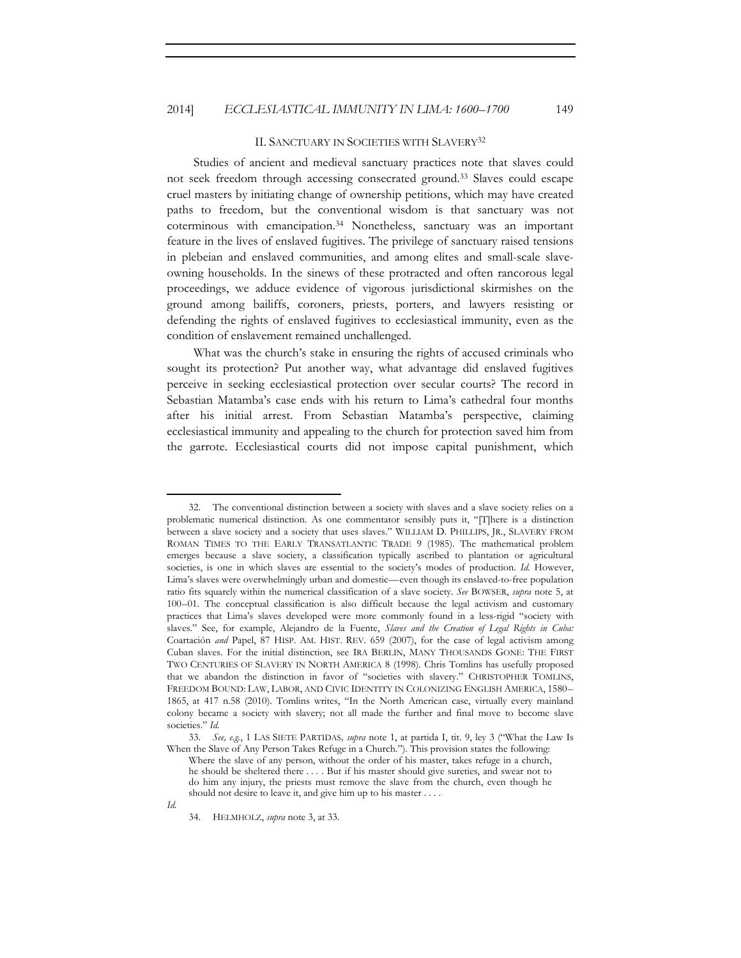#### II. SANCTUARY IN SOCIETIES WITH SLAVERY32

Studies of ancient and medieval sanctuary practices note that slaves could not seek freedom through accessing consecrated ground.33 Slaves could escape cruel masters by initiating change of ownership petitions, which may have created paths to freedom, but the conventional wisdom is that sanctuary was not coterminous with emancipation.34 Nonetheless, sanctuary was an important feature in the lives of enslaved fugitives. The privilege of sanctuary raised tensions in plebeian and enslaved communities, and among elites and small-scale slaveowning households. In the sinews of these protracted and often rancorous legal proceedings, we adduce evidence of vigorous jurisdictional skirmishes on the ground among bailiffs, coroners, priests, porters, and lawyers resisting or defending the rights of enslaved fugitives to ecclesiastical immunity, even as the condition of enslavement remained unchallenged.

What was the church's stake in ensuring the rights of accused criminals who sought its protection? Put another way, what advantage did enslaved fugitives perceive in seeking ecclesiastical protection over secular courts? The record in Sebastian Matamba's case ends with his return to Lima's cathedral four months after his initial arrest. From Sebastian Matamba's perspective, claiming ecclesiastical immunity and appealing to the church for protection saved him from the garrote. Ecclesiastical courts did not impose capital punishment, which

<sup>32.</sup> The conventional distinction between a society with slaves and a slave society relies on a problematic numerical distinction. As one commentator sensibly puts it, "[T]here is a distinction between a slave society and a society that uses slaves." WILLIAM D. PHILLIPS, JR., SLAVERY FROM ROMAN TIMES TO THE EARLY TRANSATLANTIC TRADE 9 (1985). The mathematical problem emerges because a slave society, a classification typically ascribed to plantation or agricultural societies, is one in which slaves are essential to the society's modes of production. *Id.* However, Lima's slaves were overwhelmingly urban and domestic—even though its enslaved-to-free population ratio fits squarely within the numerical classification of a slave society. *See* BOWSER, *supra* note 5, at 100–01. The conceptual classification is also difficult because the legal activism and customary practices that Lima's slaves developed were more commonly found in a less-rigid "society with slaves." See, for example, Alejandro de la Fuente, *Slaves and the Creation of Legal Rights in Cuba:*  Coartación *and* Papel, 87 HISP. AM. HIST. REV. 659 (2007), for the case of legal activism among Cuban slaves. For the initial distinction, see IRA BERLIN, MANY THOUSANDS GONE: THE FIRST TWO CENTURIES OF SLAVERY IN NORTH AMERICA 8 (1998). Chris Tomlins has usefully proposed that we abandon the distinction in favor of "societies with slavery." CHRISTOPHER TOMLINS, FREEDOM BOUND: LAW, LABOR, AND CIVIC IDENTITY IN COLONIZING ENGLISH AMERICA, 1580– 1865, at 417 n.58 (2010). Tomlins writes, "In the North American case, virtually every mainland colony became a society with slavery; not all made the further and final move to become slave societies." *Id.*

<sup>33.</sup> *See, e.g.*, 1 LAS SIETE PARTIDAS*, supra* note 1, at partida I, tit. 9, ley 3 ("What the Law Is When the Slave of Any Person Takes Refuge in a Church."). This provision states the following:

Where the slave of any person, without the order of his master, takes refuge in a church, he should be sheltered there . . . . But if his master should give sureties, and swear not to do him any injury, the priests must remove the slave from the church, even though he should not desire to leave it, and give him up to his master . . . .

<sup>34.</sup> HELMHOLZ, *supra* note 3, at 33.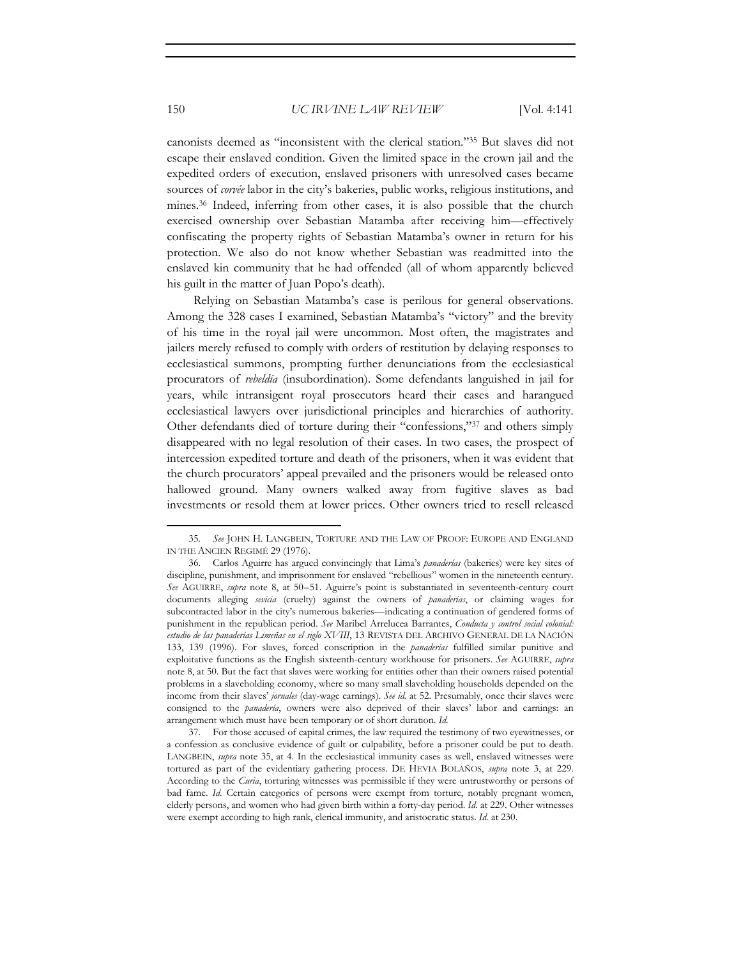canonists deemed as "inconsistent with the clerical station."35 But slaves did not escape their enslaved condition. Given the limited space in the crown jail and the expedited orders of execution, enslaved prisoners with unresolved cases became sources of *corvée* labor in the city's bakeries, public works, religious institutions, and mines.36 Indeed, inferring from other cases, it is also possible that the church exercised ownership over Sebastian Matamba after receiving him—effectively confiscating the property rights of Sebastian Matamba's owner in return for his protection. We also do not know whether Sebastian was readmitted into the enslaved kin community that he had offended (all of whom apparently believed his guilt in the matter of Juan Popo's death).

Relying on Sebastian Matamba's case is perilous for general observations. Among the 328 cases I examined, Sebastian Matamba's "victory" and the brevity of his time in the royal jail were uncommon. Most often, the magistrates and jailers merely refused to comply with orders of restitution by delaying responses to ecclesiastical summons, prompting further denunciations from the ecclesiastical procurators of *rebeldía* (insubordination). Some defendants languished in jail for years, while intransigent royal prosecutors heard their cases and harangued ecclesiastical lawyers over jurisdictional principles and hierarchies of authority. Other defendants died of torture during their "confessions,"37 and others simply disappeared with no legal resolution of their cases. In two cases, the prospect of intercession expedited torture and death of the prisoners, when it was evident that the church procurators' appeal prevailed and the prisoners would be released onto hallowed ground. Many owners walked away from fugitive slaves as bad investments or resold them at lower prices. Other owners tried to resell released

<sup>35</sup>*. See* JOHN H. LANGBEIN, TORTURE AND THE LAW OF PROOF: EUROPE AND ENGLAND IN THE ANCIEN REGIMÉ 29 (1976).

<sup>36.</sup> Carlos Aguirre has argued convincingly that Lima's *panaderías* (bakeries) were key sites of discipline, punishment, and imprisonment for enslaved "rebellious" women in the nineteenth century. *See* AGUIRRE, *supra* note 8, at 50–51. Aguirre's point is substantiated in seventeenth-century court documents alleging *sevicia* (cruelty) against the owners of *panaderías*, or claiming wages for subcontracted labor in the city's numerous bakeries—indicating a continuation of gendered forms of punishment in the republican period. *See* Maribel Arrelucea Barrantes, *Conducta y control social colonial: estudio de las panaderías Limeñas en el siglo XVIII*, 13 REVISTA DEL ARCHIVO GENERAL DE LA NACIÓN 133, 139 (1996). For slaves, forced conscription in the *panaderías* fulfilled similar punitive and exploitative functions as the English sixteenth-century workhouse for prisoners. *See* AGUIRRE, *supra*  note 8, at 50. But the fact that slaves were working for entities other than their owners raised potential problems in a slaveholding economy, where so many small slaveholding households depended on the income from their slaves' *jornales* (day-wage earnings). *See id.* at 52. Presumably, once their slaves were consigned to the *panadería*, owners were also deprived of their slaves' labor and earnings: an arrangement which must have been temporary or of short duration. *Id.*

<sup>37.</sup> For those accused of capital crimes, the law required the testimony of two eyewitnesses, or a confession as conclusive evidence of guilt or culpability, before a prisoner could be put to death. LANGBEIN, *supra* note 35, at 4. In the ecclesiastical immunity cases as well, enslaved witnesses were tortured as part of the evidentiary gathering process. DE HEVIA BOLAÑOS, *supra* note 3, at 229. According to the *Curia*, torturing witnesses was permissible if they were untrustworthy or persons of bad fame. *Id.* Certain categories of persons were exempt from torture, notably pregnant women, elderly persons, and women who had given birth within a forty-day period. *Id.* at 229. Other witnesses were exempt according to high rank, clerical immunity, and aristocratic status. *Id.* at 230.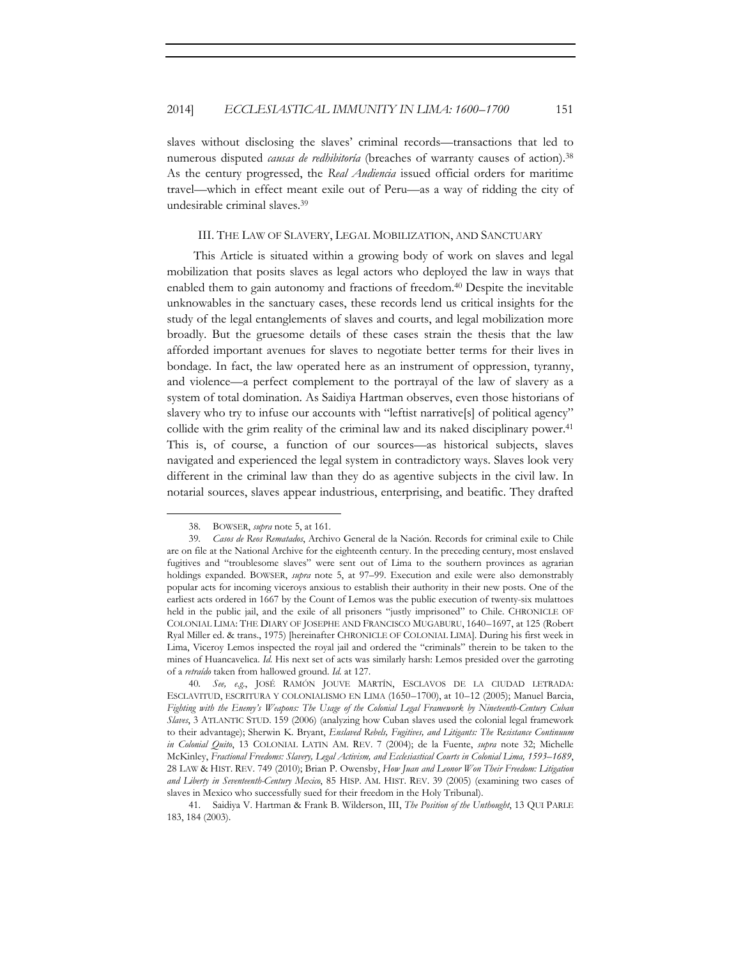slaves without disclosing the slaves' criminal records—transactions that led to numerous disputed *causas de redhibitoría* (breaches of warranty causes of action).38 As the century progressed, the *Real Audiencia* issued official orders for maritime travel—which in effect meant exile out of Peru—as a way of ridding the city of undesirable criminal slaves.39

#### III. THE LAW OF SLAVERY, LEGAL MOBILIZATION, AND SANCTUARY

This Article is situated within a growing body of work on slaves and legal mobilization that posits slaves as legal actors who deployed the law in ways that enabled them to gain autonomy and fractions of freedom.<sup>40</sup> Despite the inevitable unknowables in the sanctuary cases, these records lend us critical insights for the study of the legal entanglements of slaves and courts, and legal mobilization more broadly. But the gruesome details of these cases strain the thesis that the law afforded important avenues for slaves to negotiate better terms for their lives in bondage. In fact, the law operated here as an instrument of oppression, tyranny, and violence—a perfect complement to the portrayal of the law of slavery as a system of total domination. As Saidiya Hartman observes, even those historians of slavery who try to infuse our accounts with "leftist narrative[s] of political agency" collide with the grim reality of the criminal law and its naked disciplinary power.<sup>41</sup> This is, of course, a function of our sources—as historical subjects, slaves navigated and experienced the legal system in contradictory ways. Slaves look very different in the criminal law than they do as agentive subjects in the civil law. In notarial sources, slaves appear industrious, enterprising, and beatific. They drafted

 38. BOWSER, *supra* note 5, at 161.

<sup>39</sup>*. Casos de Reos Rematados*, Archivo General de la Nación. Records for criminal exile to Chile are on file at the National Archive for the eighteenth century. In the preceding century, most enslaved fugitives and "troublesome slaves" were sent out of Lima to the southern provinces as agrarian holdings expanded. BOWSER, *supra* note 5, at 97–99. Execution and exile were also demonstrably popular acts for incoming viceroys anxious to establish their authority in their new posts. One of the earliest acts ordered in 1667 by the Count of Lemos was the public execution of twenty-six mulattoes held in the public jail, and the exile of all prisoners "justly imprisoned" to Chile. CHRONICLE OF COLONIAL LIMA: THE DIARY OF JOSEPHE AND FRANCISCO MUGABURU, 1640–1697, at 125 (Robert Ryal Miller ed. & trans., 1975) [hereinafter CHRONICLE OF COLONIAL LIMA]. During his first week in Lima, Viceroy Lemos inspected the royal jail and ordered the "criminals" therein to be taken to the mines of Huancavelica. *Id.* His next set of acts was similarly harsh: Lemos presided over the garroting of a *retraído* taken from hallowed ground. *Id.* at 127.

<sup>40</sup>*. See, e.g.*, JOSÉ RAMÓN JOUVE MARTÍN, ESCLAVOS DE LA CIUDAD LETRADA: ESCLAVITUD, ESCRITURA Y COLONIALISMO EN LIMA (1650–1700), at 10–12 (2005); Manuel Barcia, *Fighting with the Enemy's Weapons: The Usage of the Colonial Legal Framework by Nineteenth-Century Cuban Slaves*, 3 ATLANTIC STUD. 159 (2006) (analyzing how Cuban slaves used the colonial legal framework to their advantage); Sherwin K. Bryant, *Enslaved Rebels, Fugitives, and Litigants: The Resistance Continuum in Colonial Quito*, 13 COLONIAL LATIN AM. REV. 7 (2004); de la Fuente, *supra* note 32; Michelle McKinley, *Fractional Freedoms: Slavery, Legal Activism, and Ecclesiastical Courts in Colonial Lima, 1593–1689*, 28 LAW & HIST. REV. 749 (2010); Brian P. Owensby, *How Juan and Leonor Won Their Freedom: Litigation and Liberty in Seventeenth-Century Mexico*, 85 HISP. AM. HIST. REV. 39 (2005) (examining two cases of slaves in Mexico who successfully sued for their freedom in the Holy Tribunal).

<sup>41.</sup> Saidiya V. Hartman & Frank B. Wilderson, III, *The Position of the Unthought*, 13 QUI PARLE 183, 184 (2003).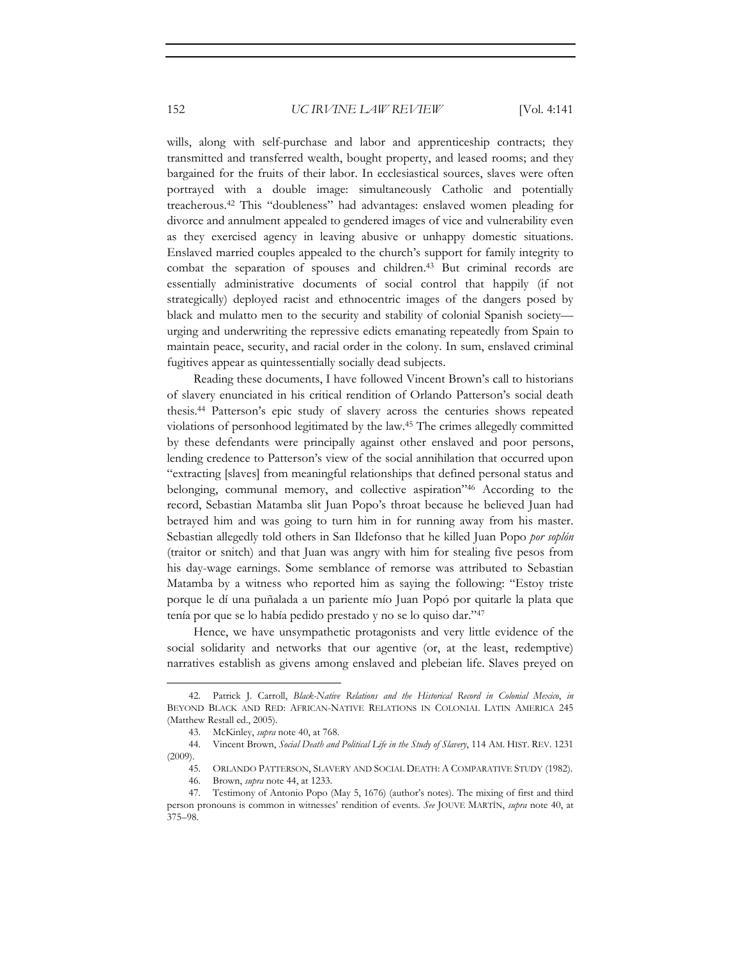wills, along with self-purchase and labor and apprenticeship contracts; they transmitted and transferred wealth, bought property, and leased rooms; and they bargained for the fruits of their labor. In ecclesiastical sources, slaves were often portrayed with a double image: simultaneously Catholic and potentially treacherous.42 This "doubleness" had advantages: enslaved women pleading for divorce and annulment appealed to gendered images of vice and vulnerability even as they exercised agency in leaving abusive or unhappy domestic situations. Enslaved married couples appealed to the church's support for family integrity to combat the separation of spouses and children.43 But criminal records are essentially administrative documents of social control that happily (if not strategically) deployed racist and ethnocentric images of the dangers posed by black and mulatto men to the security and stability of colonial Spanish society urging and underwriting the repressive edicts emanating repeatedly from Spain to maintain peace, security, and racial order in the colony. In sum, enslaved criminal fugitives appear as quintessentially socially dead subjects.

Reading these documents, I have followed Vincent Brown's call to historians of slavery enunciated in his critical rendition of Orlando Patterson's social death thesis.44 Patterson's epic study of slavery across the centuries shows repeated violations of personhood legitimated by the law.45 The crimes allegedly committed by these defendants were principally against other enslaved and poor persons, lending credence to Patterson's view of the social annihilation that occurred upon "extracting [slaves] from meaningful relationships that defined personal status and belonging, communal memory, and collective aspiration"46 According to the record, Sebastian Matamba slit Juan Popo's throat because he believed Juan had betrayed him and was going to turn him in for running away from his master. Sebastian allegedly told others in San Ildefonso that he killed Juan Popo *por soplón* (traitor or snitch) and that Juan was angry with him for stealing five pesos from his day-wage earnings. Some semblance of remorse was attributed to Sebastian Matamba by a witness who reported him as saying the following: "Estoy triste porque le dí una puñalada a un pariente mío Juan Popó por quitarle la plata que tenía por que se lo había pedido prestado y no se lo quiso dar."47

Hence, we have unsympathetic protagonists and very little evidence of the social solidarity and networks that our agentive (or, at the least, redemptive) narratives establish as givens among enslaved and plebeian life. Slaves preyed on

<sup>42.</sup> Patrick J. Carroll, *Black-Native Relations and the Historical Record in Colonial Mexico*, *in* BEYOND BLACK AND RED: AFRICAN-NATIVE RELATIONS IN COLONIAL LATIN AMERICA 245 (Matthew Restall ed., 2005).

<sup>43.</sup> McKinley, *supra* note 40, at 768.

<sup>44.</sup> Vincent Brown, *Social Death and Political Life in the Study of Slavery*, 114 AM. HIST. REV. 1231  $(2009)$ .

<sup>45.</sup> ORLANDO PATTERSON, SLAVERY AND SOCIAL DEATH: A COMPARATIVE STUDY (1982).

<sup>46.</sup> Brown, *supra* note 44, at 1233.

<sup>47.</sup> Testimony of Antonio Popo (May 5, 1676) (author's notes). The mixing of first and third person pronouns is common in witnesses' rendition of events. *See* JOUVE MARTÍN, *supra* note 40, at 375–98.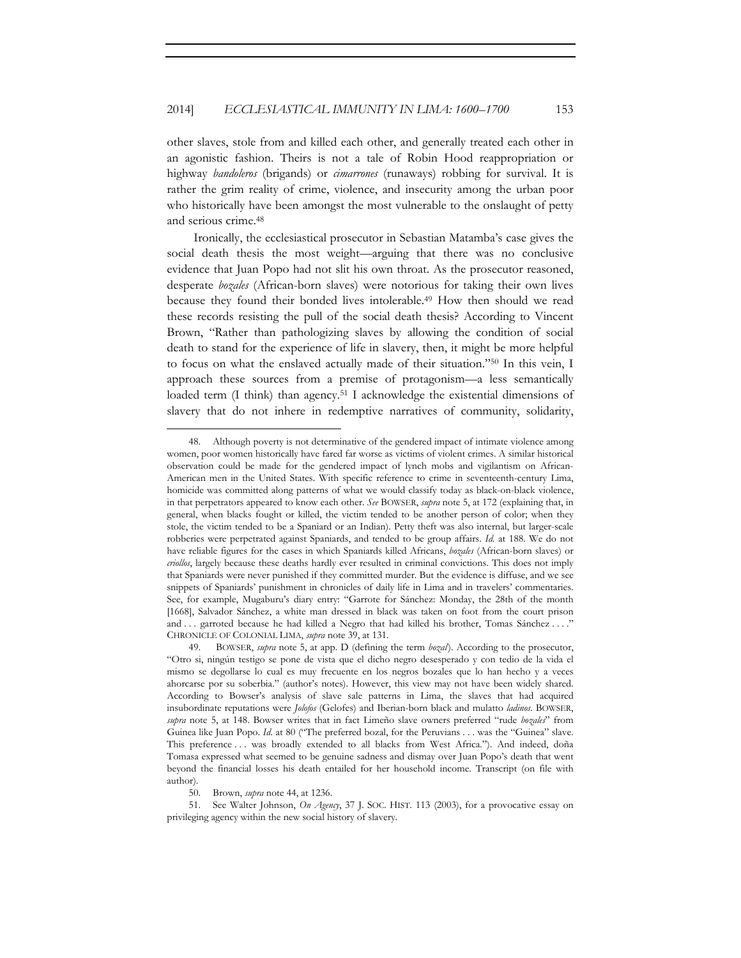other slaves, stole from and killed each other, and generally treated each other in an agonistic fashion. Theirs is not a tale of Robin Hood reappropriation or highway *bandoleros* (brigands) or *cimarrones* (runaways) robbing for survival. It is rather the grim reality of crime, violence, and insecurity among the urban poor who historically have been amongst the most vulnerable to the onslaught of petty and serious crime.48

Ironically, the ecclesiastical prosecutor in Sebastian Matamba's case gives the social death thesis the most weight—arguing that there was no conclusive evidence that Juan Popo had not slit his own throat. As the prosecutor reasoned, desperate *bozales* (African-born slaves) were notorious for taking their own lives because they found their bonded lives intolerable.49 How then should we read these records resisting the pull of the social death thesis? According to Vincent Brown, "Rather than pathologizing slaves by allowing the condition of social death to stand for the experience of life in slavery, then, it might be more helpful to focus on what the enslaved actually made of their situation."50 In this vein, I approach these sources from a premise of protagonism—a less semantically loaded term (I think) than agency.<sup>51</sup> I acknowledge the existential dimensions of slavery that do not inhere in redemptive narratives of community, solidarity,

<sup>48.</sup> Although poverty is not determinative of the gendered impact of intimate violence among women, poor women historically have fared far worse as victims of violent crimes. A similar historical observation could be made for the gendered impact of lynch mobs and vigilantism on African-American men in the United States. With specific reference to crime in seventeenth-century Lima, homicide was committed along patterns of what we would classify today as black-on-black violence, in that perpetrators appeared to know each other. *See* BOWSER, *supra* note 5, at 172 (explaining that, in general, when blacks fought or killed, the victim tended to be another person of color; when they stole, the victim tended to be a Spaniard or an Indian). Petty theft was also internal, but larger-scale robberies were perpetrated against Spaniards, and tended to be group affairs. *Id.* at 188. We do not have reliable figures for the cases in which Spaniards killed Africans, *bozales* (African-born slaves) or *criollos*, largely because these deaths hardly ever resulted in criminal convictions. This does not imply that Spaniards were never punished if they committed murder. But the evidence is diffuse, and we see snippets of Spaniards' punishment in chronicles of daily life in Lima and in travelers' commentaries. See, for example, Mugaburu's diary entry: "Garrote for Sánchez: Monday, the 28th of the month [1668], Salvador Sánchez, a white man dressed in black was taken on foot from the court prison and . . . garroted because he had killed a Negro that had killed his brother, Tomas Sánchez . . . ." CHRONICLE OF COLONIAL LIMA, *supra* note 39, at 131.

<sup>49.</sup> BOWSER, *supra* note 5, at app. D (defining the term *bozal*). According to the prosecutor, "Otro si, ningún testigo se pone de vista que el dicho negro desesperado y con tedio de la vida el mismo se degollarse lo cual es muy frecuente en los negros bozales que lo han hecho y a veces ahorcarse por su soberbia." (author's notes). However, this view may not have been widely shared. According to Bowser's analysis of slave sale patterns in Lima, the slaves that had acquired insubordinate reputations were *Jolofos* (Gelofes) and Iberian-born black and mulatto *ladinos*. BOWSER, *supra* note 5, at 148. Bowser writes that in fact Limeño slave owners preferred "rude *bozales*" from Guinea like Juan Popo. *Id.* at 80 ("The preferred bozal, for the Peruvians . . . was the "Guinea" slave. This preference ... was broadly extended to all blacks from West Africa."). And indeed, doña Tomasa expressed what seemed to be genuine sadness and dismay over Juan Popo's death that went beyond the financial losses his death entailed for her household income. Transcript (on file with author).

<sup>50.</sup> Brown, *supra* note 44, at 1236.

<sup>51.</sup> See Walter Johnson, *On Agency*, 37 J. SOC. HIST. 113 (2003), for a provocative essay on privileging agency within the new social history of slavery.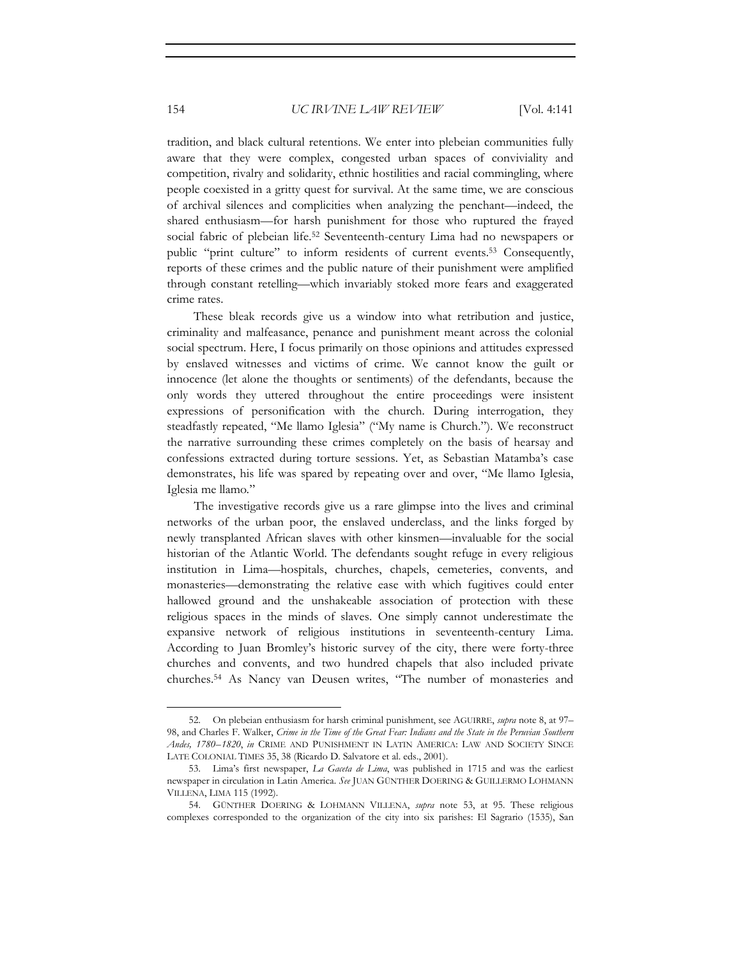tradition, and black cultural retentions. We enter into plebeian communities fully aware that they were complex, congested urban spaces of conviviality and competition, rivalry and solidarity, ethnic hostilities and racial commingling, where people coexisted in a gritty quest for survival. At the same time, we are conscious of archival silences and complicities when analyzing the penchant—indeed, the shared enthusiasm—for harsh punishment for those who ruptured the frayed social fabric of plebeian life.52 Seventeenth-century Lima had no newspapers or public "print culture" to inform residents of current events.53 Consequently, reports of these crimes and the public nature of their punishment were amplified through constant retelling—which invariably stoked more fears and exaggerated crime rates.

These bleak records give us a window into what retribution and justice, criminality and malfeasance, penance and punishment meant across the colonial social spectrum. Here, I focus primarily on those opinions and attitudes expressed by enslaved witnesses and victims of crime. We cannot know the guilt or innocence (let alone the thoughts or sentiments) of the defendants, because the only words they uttered throughout the entire proceedings were insistent expressions of personification with the church. During interrogation, they steadfastly repeated, "Me llamo Iglesia" ("My name is Church."). We reconstruct the narrative surrounding these crimes completely on the basis of hearsay and confessions extracted during torture sessions. Yet, as Sebastian Matamba's case demonstrates, his life was spared by repeating over and over, "Me llamo Iglesia, Iglesia me llamo*.*"

The investigative records give us a rare glimpse into the lives and criminal networks of the urban poor, the enslaved underclass, and the links forged by newly transplanted African slaves with other kinsmen—invaluable for the social historian of the Atlantic World. The defendants sought refuge in every religious institution in Lima—hospitals, churches, chapels, cemeteries, convents, and monasteries—demonstrating the relative ease with which fugitives could enter hallowed ground and the unshakeable association of protection with these religious spaces in the minds of slaves. One simply cannot underestimate the expansive network of religious institutions in seventeenth-century Lima. According to Juan Bromley's historic survey of the city, there were forty-three churches and convents, and two hundred chapels that also included private churches.54 As Nancy van Deusen writes, "The number of monasteries and

<sup>52.</sup> On plebeian enthusiasm for harsh criminal punishment, see AGUIRRE, *supra* note 8, at 97– 98, and Charles F. Walker, *Crime in the Time of the Great Fear: Indians and the State in the Peruvian Southern Andes, 1780–1820*, *in* CRIME AND PUNISHMENT IN LATIN AMERICA: LAW AND SOCIETY SINCE LATE COLONIAL TIMES 35, 38 (Ricardo D. Salvatore et al. eds., 2001).

<sup>53.</sup> Lima's first newspaper, *La Gaceta de Lima*, was published in 1715 and was the earliest newspaper in circulation in Latin America. *See* JUAN GÜNTHER DOERING & GUILLERMO LOHMANN VILLENA, LIMA 115 (1992).

<sup>54.</sup> GÜNTHER DOERING & LOHMANN VILLENA, *supra* note 53, at 95. These religious complexes corresponded to the organization of the city into six parishes: El Sagrario (1535), San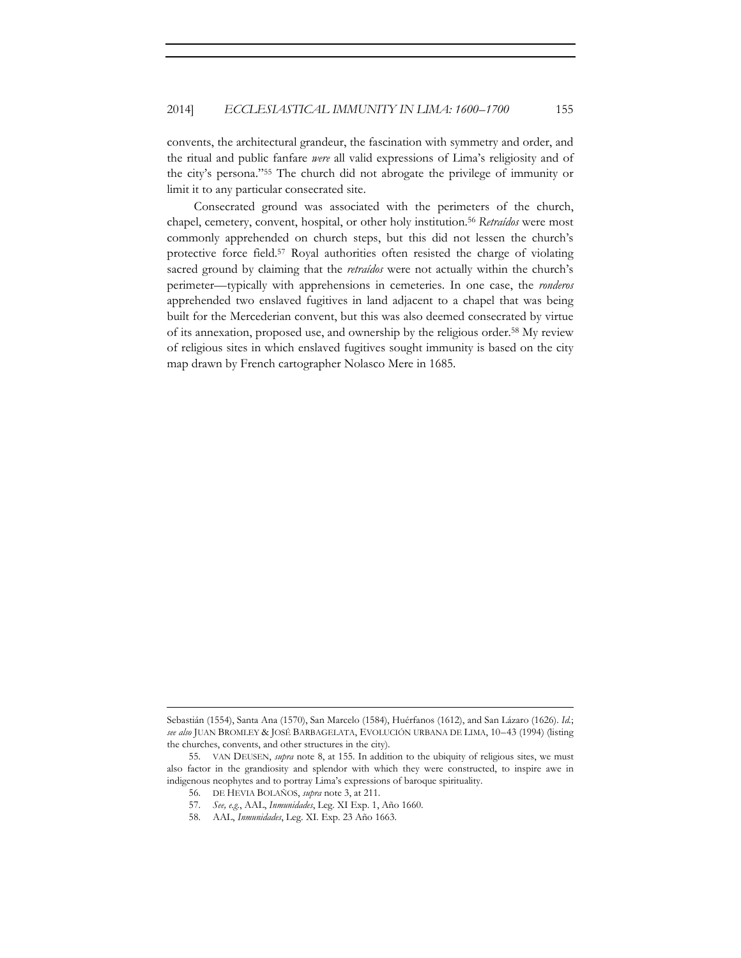convents, the architectural grandeur, the fascination with symmetry and order, and the ritual and public fanfare *were* all valid expressions of Lima's religiosity and of the city's persona."55 The church did not abrogate the privilege of immunity or limit it to any particular consecrated site.

Consecrated ground was associated with the perimeters of the church, chapel, cemetery, convent, hospital, or other holy institution.56 *Retraídos* were most commonly apprehended on church steps, but this did not lessen the church's protective force field.57 Royal authorities often resisted the charge of violating sacred ground by claiming that the *retraídos* were not actually within the church's perimeter—typically with apprehensions in cemeteries. In one case, the *ronderos*  apprehended two enslaved fugitives in land adjacent to a chapel that was being built for the Mercederian convent, but this was also deemed consecrated by virtue of its annexation, proposed use, and ownership by the religious order.58 My review of religious sites in which enslaved fugitives sought immunity is based on the city map drawn by French cartographer Nolasco Mere in 1685.

<u> 1989 - Johann Stein, marwolaethau a bhann an t-Amhain an t-Amhain an t-Amhain an t-Amhain an t-Amhain an t-A</u>

Sebastián (1554), Santa Ana (1570), San Marcelo (1584), Huérfanos (1612), and San Lázaro (1626). *Id.*; *see also* JUAN BROMLEY & JOSÉ BARBAGELATA, EVOLUCIÓN URBANA DE LIMA, 10–43 (1994) (listing the churches, convents, and other structures in the city).

<sup>55.</sup> VAN DEUSEN, *supra* note 8, at 155. In addition to the ubiquity of religious sites, we must also factor in the grandiosity and splendor with which they were constructed, to inspire awe in indigenous neophytes and to portray Lima's expressions of baroque spirituality.

<sup>56.</sup> DE HEVIA BOLAÑOS, *supra* note 3, at 211.

<sup>57.</sup> *See, e.g.*, AAL, *Inmunidades*, Leg. XI Exp. 1, Año 1660.

<sup>58.</sup> AAL, *Inmunidades*, Leg. XI. Exp. 23 Año 1663.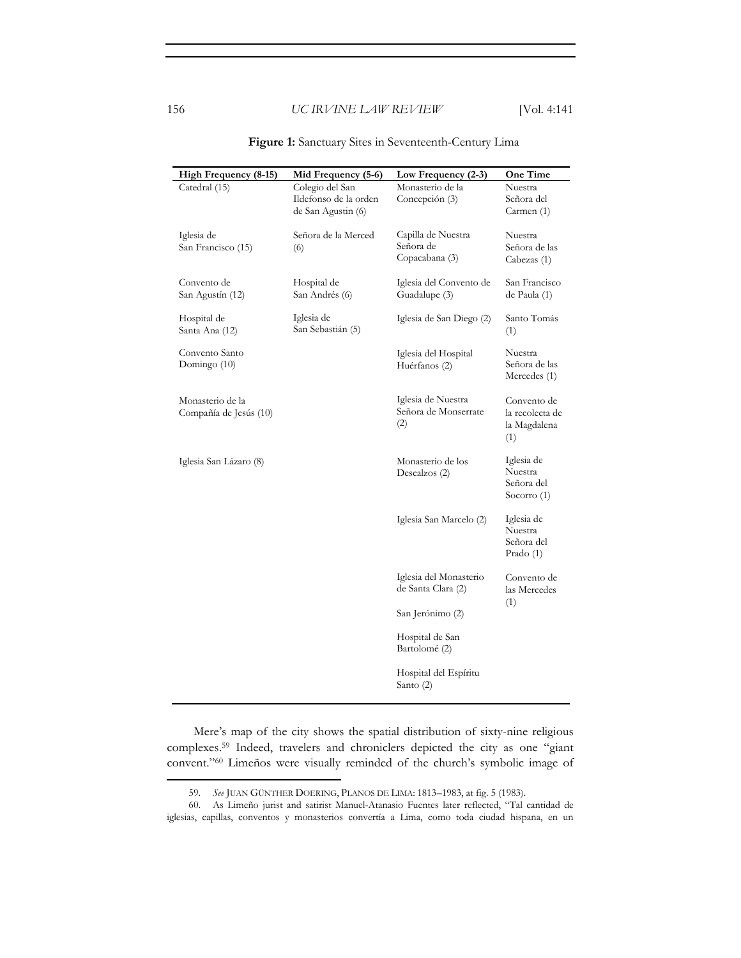| High Frequency (8-15)  | Mid Frequency (5-6)   | Low Frequency (2-3)      | One Time        |
|------------------------|-----------------------|--------------------------|-----------------|
| Catedral (15)          | Colegio del San       | Monasterio de la         | Nuestra         |
|                        | Ildefonso de la orden | Concepción (3)           | Señora del      |
|                        | de San Agustin (6)    |                          | Carmen (1)      |
|                        |                       |                          |                 |
| Iglesia de             | Señora de la Merced   | Capilla de Nuestra       | Nuestra         |
|                        |                       | Señora de                | Señora de las   |
| San Francisco (15)     | (6)                   |                          |                 |
|                        |                       | Copacabana (3)           | Cabezas (1)     |
|                        |                       |                          |                 |
| Convento de            | Hospital de           | Iglesia del Convento de  | San Francisco   |
| San Agustín (12)       | San Andrés (6)        | Guadalupe (3)            | de Paula (1)    |
|                        |                       |                          |                 |
| Hospital de            | Iglesia de            | Iglesia de San Diego (2) | Santo Tomás     |
| Santa Ana (12)         | San Sebastián (5)     |                          | (1)             |
|                        |                       |                          |                 |
| Convento Santo         |                       | Iglesia del Hospital     | Nuestra         |
| Domingo (10)           |                       | Huérfanos (2)            | Señora de las   |
|                        |                       |                          | Mercedes (1)    |
|                        |                       |                          |                 |
|                        |                       |                          |                 |
| Monasterio de la       |                       | Iglesia de Nuestra       | Convento de     |
| Compañía de Jesús (10) |                       | Señora de Monserrate     | la recolecta de |
|                        |                       | (2)                      | la Magdalena    |
|                        |                       |                          | (1)             |
|                        |                       |                          |                 |
| Iglesia San Lázaro (8) |                       | Monasterio de los        | Iglesia de      |
|                        |                       | Descalzos (2)            | Nuestra         |
|                        |                       |                          | Señora del      |
|                        |                       |                          | Socorro (1)     |
|                        |                       |                          |                 |
|                        |                       |                          |                 |
|                        |                       | Iglesia San Marcelo (2)  | Iglesia de      |
|                        |                       |                          | Nuestra         |
|                        |                       |                          | Señora del      |
|                        |                       |                          | Prado (1)       |
|                        |                       |                          |                 |
|                        |                       | Iglesia del Monasterio   | Convento de     |
|                        |                       | de Santa Clara (2)       | las Mercedes    |
|                        |                       |                          | (1)             |
|                        |                       | San Jerónimo (2)         |                 |
|                        |                       |                          |                 |
|                        |                       | Hospital de San          |                 |
|                        |                       |                          |                 |
|                        |                       | Bartolomé (2)            |                 |
|                        |                       |                          |                 |
|                        |                       | Hospital del Espíritu    |                 |
|                        |                       | Santo (2)                |                 |
|                        |                       |                          |                 |

**Figure 1:** Sanctuary Sites in Seventeenth-Century Lima

Mere's map of the city shows the spatial distribution of sixty-nine religious complexes.59 Indeed, travelers and chroniclers depicted the city as one "giant convent."60 Limeños were visually reminded of the church's symbolic image of

<sup>59.</sup> *See* JUAN GÜNTHER DOERING, PLANOS DE LIMA: 1813–1983, at fig. 5 (1983).

<sup>60.</sup> As Limeño jurist and satirist Manuel-Atanasio Fuentes later reflected, "Tal cantidad de iglesias, capillas, conventos y monasterios convertía a Lima, como toda ciudad hispana, en un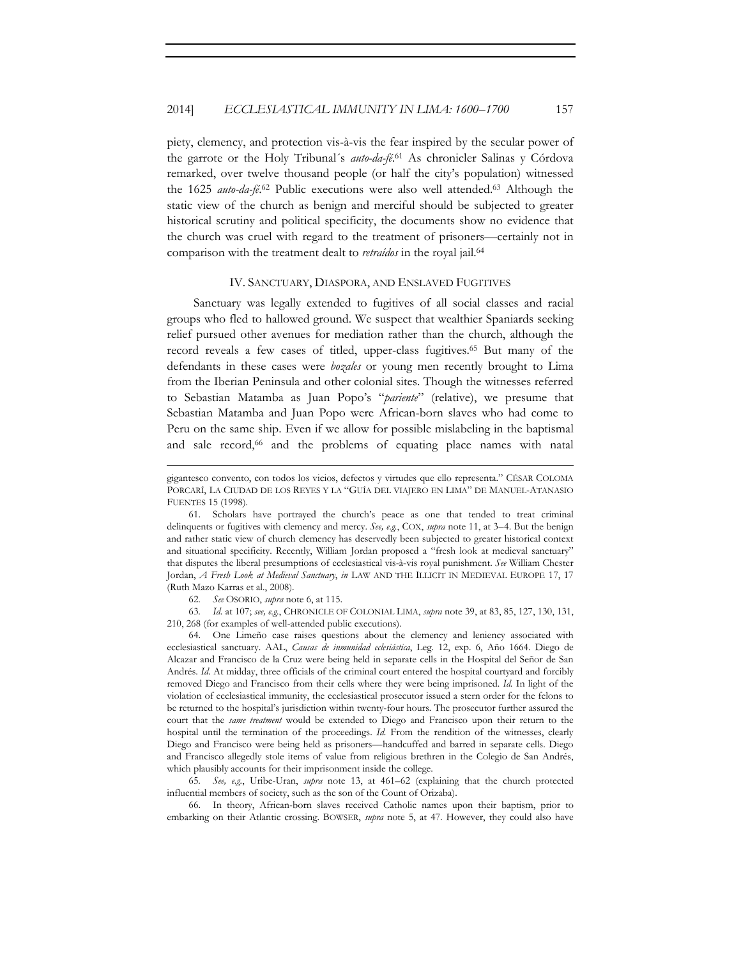piety, clemency, and protection vis-à-vis the fear inspired by the secular power of the garrote or the Holy Tribunal´s *auto-da-fé*. 61 As chronicler Salinas y Córdova remarked, over twelve thousand people (or half the city's population) witnessed the 1625 *auto-da-fé*. 62 Public executions were also well attended.63 Although the static view of the church as benign and merciful should be subjected to greater historical scrutiny and political specificity, the documents show no evidence that the church was cruel with regard to the treatment of prisoners—certainly not in comparison with the treatment dealt to *retraídos* in the royal jail.64

#### IV. SANCTUARY, DIASPORA, AND ENSLAVED FUGITIVES

Sanctuary was legally extended to fugitives of all social classes and racial groups who fled to hallowed ground. We suspect that wealthier Spaniards seeking relief pursued other avenues for mediation rather than the church, although the record reveals a few cases of titled, upper-class fugitives.65 But many of the defendants in these cases were *bozales* or young men recently brought to Lima from the Iberian Peninsula and other colonial sites. Though the witnesses referred to Sebastian Matamba as Juan Popo's "*pariente*" (relative), we presume that Sebastian Matamba and Juan Popo were African-born slaves who had come to Peru on the same ship. Even if we allow for possible mislabeling in the baptismal and sale record,<sup>66</sup> and the problems of equating place names with natal

<u> 1989 - Johann Stein, marwolaethau a bhann an t-Amhain an t-Amhain an t-Amhain an t-Amhain an t-Amhain an t-A</u>

62*. See* OSORIO, *supra* note 6, at 115.

63*. Id.* at 107; *see, e.g.*, CHRONICLE OF COLONIAL LIMA, *supra* note 39, at 83, 85, 127, 130, 131, 210, 268 (for examples of well-attended public executions).

64. One Limeño case raises questions about the clemency and leniency associated with ecclesiastical sanctuary. AAL, *Causas de inmunidad eclesiástica*, Leg. 12, exp. 6, Año 1664. Diego de Alcazar and Francisco de la Cruz were being held in separate cells in the Hospital del Señor de San Andrés. *Id.* At midday, three officials of the criminal court entered the hospital courtyard and forcibly removed Diego and Francisco from their cells where they were being imprisoned. *Id.* In light of the violation of ecclesiastical immunity, the ecclesiastical prosecutor issued a stern order for the felons to be returned to the hospital's jurisdiction within twenty-four hours. The prosecutor further assured the court that the *same treatment* would be extended to Diego and Francisco upon their return to the hospital until the termination of the proceedings. *Id.* From the rendition of the witnesses, clearly Diego and Francisco were being held as prisoners—handcuffed and barred in separate cells. Diego and Francisco allegedly stole items of value from religious brethren in the Colegio de San Andrés, which plausibly accounts for their imprisonment inside the college.

65*. See, e.g.*, Uribe-Uran, *supra* note 13, at 461–62 (explaining that the church protected influential members of society, such as the son of the Count of Orizaba).

66. In theory, African-born slaves received Catholic names upon their baptism, prior to embarking on their Atlantic crossing. BOWSER, *supra* note 5, at 47. However, they could also have

gigantesco convento, con todos los vicios, defectos y virtudes que ello representa." CÉSAR COLOMA PORCARÍ, LA CIUDAD DE LOS REYES Y LA "GUÍA DEL VIAJERO EN LIMA" DE MANUEL-ATANASIO FUENTES 15 (1998).

<sup>61.</sup> Scholars have portrayed the church's peace as one that tended to treat criminal delinquents or fugitives with clemency and mercy. *See, e.g.*, COX, *supra* note 11, at 3–4. But the benign and rather static view of church clemency has deservedly been subjected to greater historical context and situational specificity. Recently, William Jordan proposed a "fresh look at medieval sanctuary" that disputes the liberal presumptions of ecclesiastical vis-à-vis royal punishment. *See* William Chester Jordan, *A Fresh Look at Medieval Sanctuary*, *in* LAW AND THE ILLICIT IN MEDIEVAL EUROPE 17, 17 (Ruth Mazo Karras et al., 2008).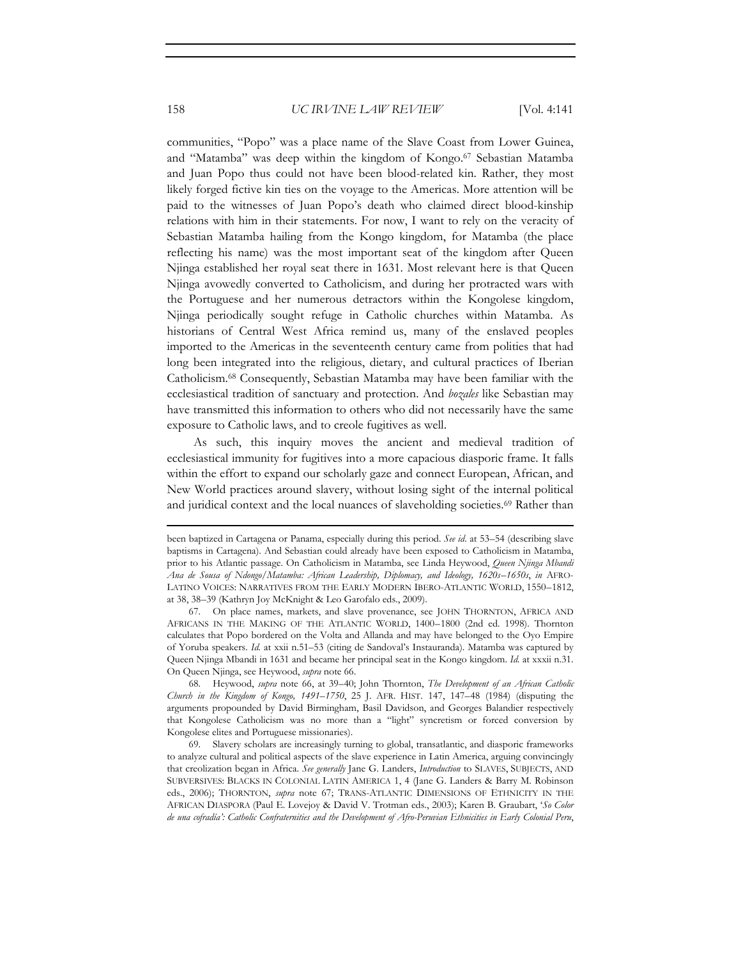communities, "Popo" was a place name of the Slave Coast from Lower Guinea, and "Matamba" was deep within the kingdom of Kongo.67 Sebastian Matamba and Juan Popo thus could not have been blood-related kin. Rather, they most likely forged fictive kin ties on the voyage to the Americas. More attention will be paid to the witnesses of Juan Popo's death who claimed direct blood-kinship relations with him in their statements. For now, I want to rely on the veracity of Sebastian Matamba hailing from the Kongo kingdom, for Matamba (the place reflecting his name) was the most important seat of the kingdom after Queen Njinga established her royal seat there in 1631. Most relevant here is that Queen Njinga avowedly converted to Catholicism, and during her protracted wars with the Portuguese and her numerous detractors within the Kongolese kingdom, Njinga periodically sought refuge in Catholic churches within Matamba. As historians of Central West Africa remind us, many of the enslaved peoples imported to the Americas in the seventeenth century came from polities that had long been integrated into the religious, dietary, and cultural practices of Iberian Catholicism.68 Consequently, Sebastian Matamba may have been familiar with the ecclesiastical tradition of sanctuary and protection. And *bozales* like Sebastian may have transmitted this information to others who did not necessarily have the same exposure to Catholic laws, and to creole fugitives as well.

As such, this inquiry moves the ancient and medieval tradition of ecclesiastical immunity for fugitives into a more capacious diasporic frame. It falls within the effort to expand our scholarly gaze and connect European, African, and New World practices around slavery, without losing sight of the internal political and juridical context and the local nuances of slaveholding societies.<sup>69</sup> Rather than

<u> 1989 - Johann Stein, marwolaethau a bhann an t-Amhain an t-Amhain an t-Amhain an t-Amhain an t-Amhain an t-A</u>

68. Heywood, *supra* note 66, at 39–40; John Thornton, *The Development of an African Catholic Church in the Kingdom of Kongo, 1491–1750*, 25 J. AFR. HIST. 147, 147–48 (1984) (disputing the arguments propounded by David Birmingham, Basil Davidson, and Georges Balandier respectively that Kongolese Catholicism was no more than a "light" syncretism or forced conversion by Kongolese elites and Portuguese missionaries).

69. Slavery scholars are increasingly turning to global, transatlantic, and diasporic frameworks to analyze cultural and political aspects of the slave experience in Latin America, arguing convincingly that creolization began in Africa. *See generally* Jane G. Landers, *Introduction* to SLAVES, SUBJECTS, AND SUBVERSIVES: BLACKS IN COLONIAL LATIN AMERICA 1, 4 (Jane G. Landers & Barry M. Robinson eds., 2006); THORNTON, *supra* note 67; TRANS-ATLANTIC DIMENSIONS OF ETHNICITY IN THE AFRICAN DIASPORA (Paul E. Lovejoy & David V. Trotman eds., 2003); Karen B. Graubart, '*So Color de una cofradía': Catholic Confraternities and the Development of Afro-Peruvian Ethnicities in Early Colonial Peru*,

been baptized in Cartagena or Panama, especially during this period. *See id*. at 53–54 (describing slave baptisms in Cartagena). And Sebastian could already have been exposed to Catholicism in Matamba, prior to his Atlantic passage. On Catholicism in Matamba, see Linda Heywood, *Queen Njinga Mbandi Ana de Sousa of Ndongo/Matamba: African Leadership, Diplomacy, and Ideology, 1620s–1650s*, *in* AFRO-LATINO VOICES: NARRATIVES FROM THE EARLY MODERN IBERO-ATLANTIC WORLD, 1550–1812, at 38, 38–39 (Kathryn Joy McKnight & Leo Garofalo eds., 2009).

<sup>67.</sup> On place names, markets, and slave provenance, see JOHN THORNTON, AFRICA AND AFRICANS IN THE MAKING OF THE ATLANTIC WORLD, 1400–1800 (2nd ed. 1998). Thornton calculates that Popo bordered on the Volta and Allanda and may have belonged to the Oyo Empire of Yoruba speakers. *Id.* at xxii n.51–53 (citing de Sandoval's Instauranda). Matamba was captured by Queen Njinga Mbandi in 1631 and became her principal seat in the Kongo kingdom. *Id.* at xxxii n.31. On Queen Njinga, see Heywood, *supra* note 66.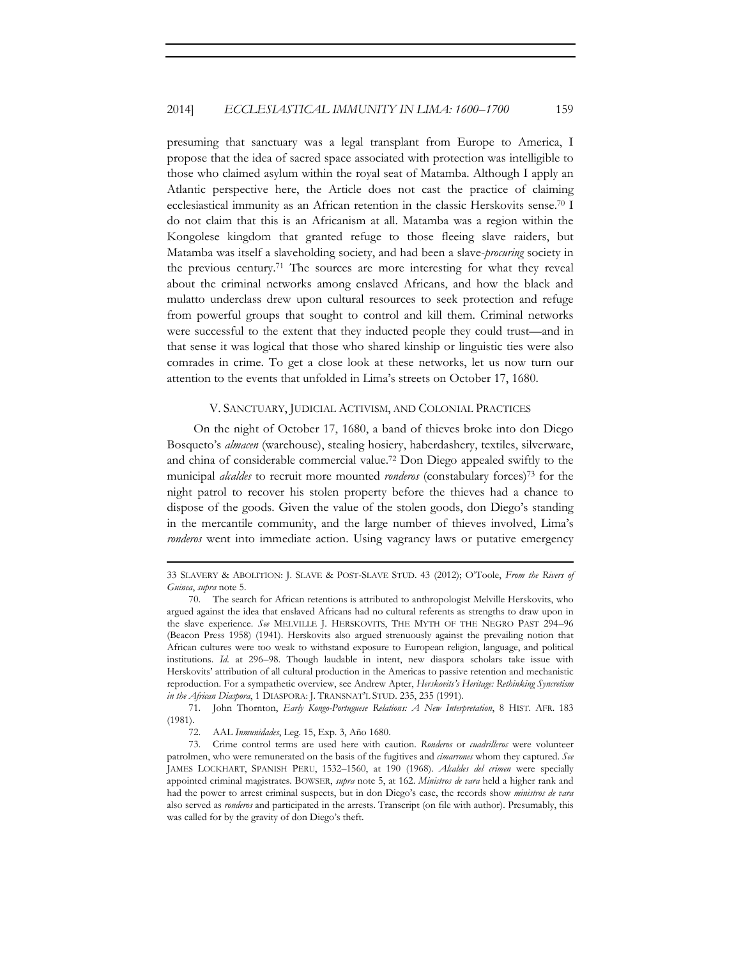presuming that sanctuary was a legal transplant from Europe to America, I propose that the idea of sacred space associated with protection was intelligible to those who claimed asylum within the royal seat of Matamba. Although I apply an Atlantic perspective here, the Article does not cast the practice of claiming ecclesiastical immunity as an African retention in the classic Herskovits sense.70 I do not claim that this is an Africanism at all. Matamba was a region within the Kongolese kingdom that granted refuge to those fleeing slave raiders, but Matamba was itself a slaveholding society, and had been a slave-*procuring* society in the previous century.71 The sources are more interesting for what they reveal about the criminal networks among enslaved Africans, and how the black and mulatto underclass drew upon cultural resources to seek protection and refuge from powerful groups that sought to control and kill them. Criminal networks were successful to the extent that they inducted people they could trust—and in that sense it was logical that those who shared kinship or linguistic ties were also comrades in crime. To get a close look at these networks, let us now turn our attention to the events that unfolded in Lima's streets on October 17, 1680.

#### V. SANCTUARY, JUDICIAL ACTIVISM, AND COLONIAL PRACTICES

On the night of October 17, 1680, a band of thieves broke into don Diego Bosqueto's *almacen* (warehouse), stealing hosiery, haberdashery, textiles, silverware, and china of considerable commercial value.72 Don Diego appealed swiftly to the municipal *alcaldes* to recruit more mounted *ronderos* (constabulary forces)73 for the night patrol to recover his stolen property before the thieves had a chance to dispose of the goods. Given the value of the stolen goods, don Diego's standing in the mercantile community, and the large number of thieves involved, Lima's *ronderos* went into immediate action. Using vagrancy laws or putative emergency

71. John Thornton, *Early Kongo-Portuguese Relations: A New Interpretation*, 8 HIST. AFR. 183 (1981).

72. AAL *Inmunidades*, Leg. 15, Exp. 3, Año 1680.

<sup>&</sup>lt;u> 1989 - Johann Stein, marwolaethau a bhann an t-Amhain an t-Amhain an t-Amhain an t-Amhain an t-Amhain an t-A</u> 33 SLAVERY & ABOLITION: J. SLAVE & POST-SLAVE STUD. 43 (2012); O'Toole, *From the Rivers of Guinea*, *supra* note 5.

<sup>70.</sup> The search for African retentions is attributed to anthropologist Melville Herskovits, who argued against the idea that enslaved Africans had no cultural referents as strengths to draw upon in the slave experience. *See* MELVILLE J. HERSKOVITS, THE MYTH OF THE NEGRO PAST 294–96 (Beacon Press 1958) (1941). Herskovits also argued strenuously against the prevailing notion that African cultures were too weak to withstand exposure to European religion, language, and political institutions. *Id.* at 296–98. Though laudable in intent, new diaspora scholars take issue with Herskovits' attribution of all cultural production in the Americas to passive retention and mechanistic reproduction. For a sympathetic overview, see Andrew Apter, *Herskovits's Heritage: Rethinking Syncretism in the African Diaspora*, 1 DIASPORA: J. TRANSNAT'L STUD. 235, 235 (1991).

<sup>73.</sup> Crime control terms are used here with caution. *Ronderos* or *cuadrilleros* were volunteer patrolmen, who were remunerated on the basis of the fugitives and *cimarrones* whom they captured. *See* JAMES LOCKHART, SPANISH PERU, 1532–1560, at 190 (1968). *Alcaldes del crimen* were specially appointed criminal magistrates. BOWSER, *supra* note 5, at 162. *Ministros de vara* held a higher rank and had the power to arrest criminal suspects, but in don Diego's case, the records show *ministros de vara* also served as *ronderos* and participated in the arrests. Transcript (on file with author). Presumably, this was called for by the gravity of don Diego's theft.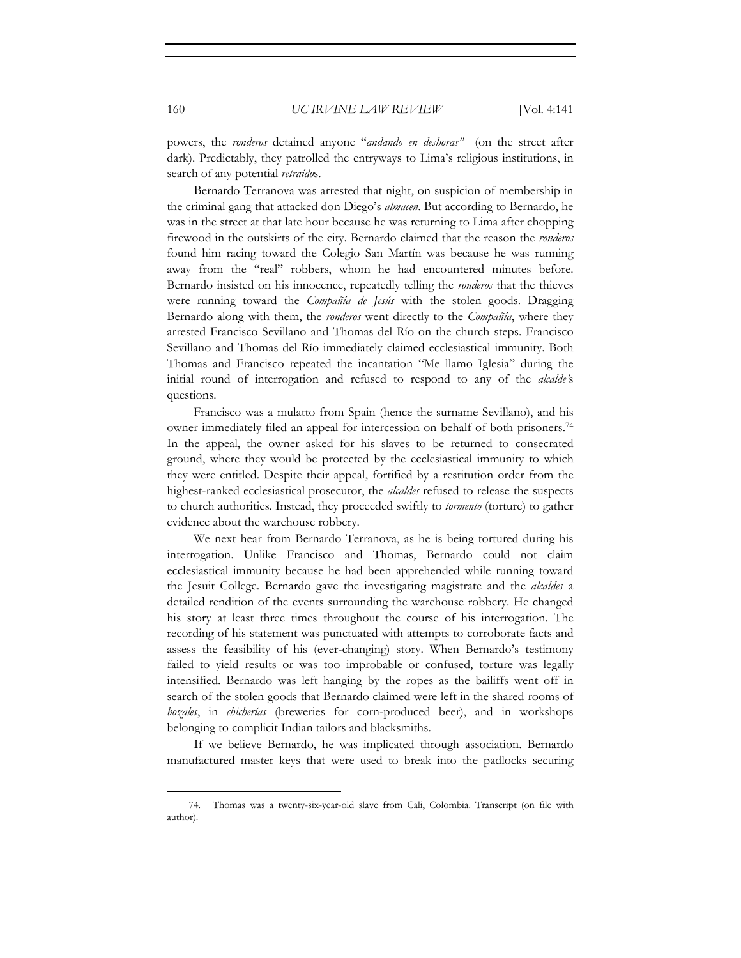powers, the *ronderos* detained anyone "*andando en deshoras"* (on the street after dark). Predictably, they patrolled the entryways to Lima's religious institutions, in search of any potential *retraído*s.

Bernardo Terranova was arrested that night, on suspicion of membership in the criminal gang that attacked don Diego's *almacen*. But according to Bernardo, he was in the street at that late hour because he was returning to Lima after chopping firewood in the outskirts of the city. Bernardo claimed that the reason the *ronderos* found him racing toward the Colegio San Martín was because he was running away from the "real" robbers, whom he had encountered minutes before. Bernardo insisted on his innocence, repeatedly telling the *ronderos* that the thieves were running toward the *Compañía de Jesús* with the stolen goods. Dragging Bernardo along with them, the *ronderos* went directly to the *Compañía*, where they arrested Francisco Sevillano and Thomas del Río on the church steps. Francisco Sevillano and Thomas del Río immediately claimed ecclesiastical immunity. Both Thomas and Francisco repeated the incantation "Me llamo Iglesia" during the initial round of interrogation and refused to respond to any of the *alcalde'*s questions.

Francisco was a mulatto from Spain (hence the surname Sevillano), and his owner immediately filed an appeal for intercession on behalf of both prisoners.74 In the appeal, the owner asked for his slaves to be returned to consecrated ground, where they would be protected by the ecclesiastical immunity to which they were entitled. Despite their appeal, fortified by a restitution order from the highest-ranked ecclesiastical prosecutor, the *alcaldes* refused to release the suspects to church authorities. Instead, they proceeded swiftly to *tormento* (torture) to gather evidence about the warehouse robbery.

We next hear from Bernardo Terranova, as he is being tortured during his interrogation. Unlike Francisco and Thomas, Bernardo could not claim ecclesiastical immunity because he had been apprehended while running toward the Jesuit College. Bernardo gave the investigating magistrate and the *alcaldes* a detailed rendition of the events surrounding the warehouse robbery. He changed his story at least three times throughout the course of his interrogation. The recording of his statement was punctuated with attempts to corroborate facts and assess the feasibility of his (ever-changing) story. When Bernardo's testimony failed to yield results or was too improbable or confused, torture was legally intensified. Bernardo was left hanging by the ropes as the bailiffs went off in search of the stolen goods that Bernardo claimed were left in the shared rooms of *bozales*, in *chicherías* (breweries for corn-produced beer), and in workshops belonging to complicit Indian tailors and blacksmiths.

If we believe Bernardo, he was implicated through association. Bernardo manufactured master keys that were used to break into the padlocks securing

<sup>74.</sup> Thomas was a twenty-six-year-old slave from Cali, Colombia. Transcript (on file with author).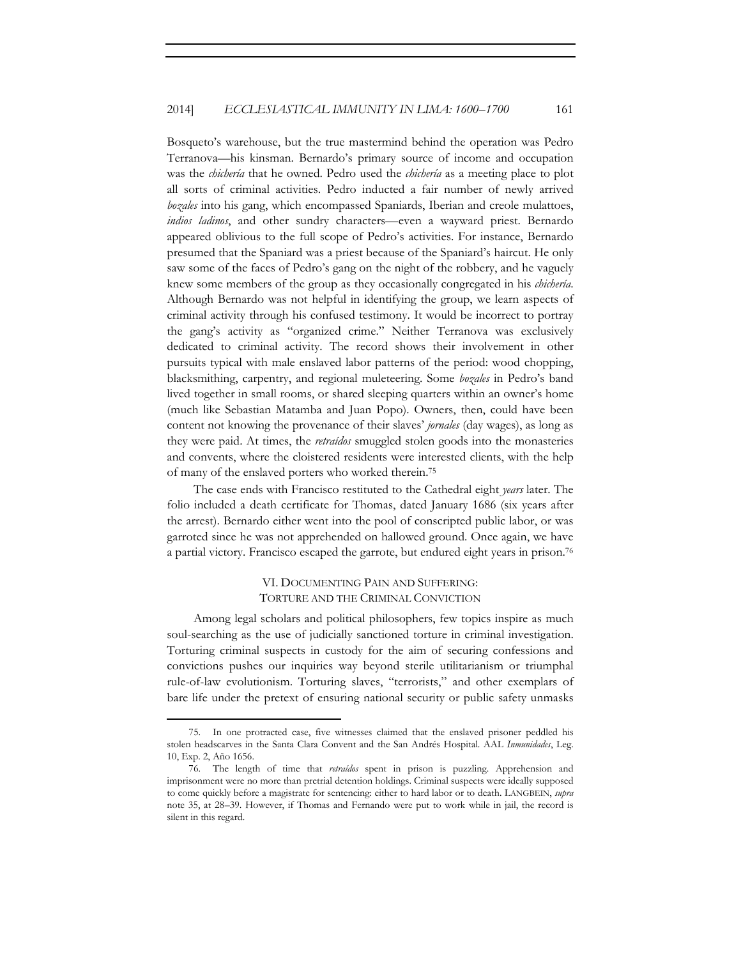Bosqueto's warehouse, but the true mastermind behind the operation was Pedro Terranova—his kinsman. Bernardo's primary source of income and occupation was the *chichería* that he owned. Pedro used the *chichería* as a meeting place to plot all sorts of criminal activities. Pedro inducted a fair number of newly arrived *bozales* into his gang, which encompassed Spaniards, Iberian and creole mulattoes, *indios ladinos*, and other sundry characters—even a wayward priest. Bernardo appeared oblivious to the full scope of Pedro's activities. For instance, Bernardo presumed that the Spaniard was a priest because of the Spaniard's haircut. He only saw some of the faces of Pedro's gang on the night of the robbery, and he vaguely knew some members of the group as they occasionally congregated in his *chichería*. Although Bernardo was not helpful in identifying the group, we learn aspects of criminal activity through his confused testimony. It would be incorrect to portray the gang's activity as "organized crime." Neither Terranova was exclusively dedicated to criminal activity. The record shows their involvement in other pursuits typical with male enslaved labor patterns of the period: wood chopping, blacksmithing, carpentry, and regional muleteering. Some *bozales* in Pedro's band lived together in small rooms, or shared sleeping quarters within an owner's home (much like Sebastian Matamba and Juan Popo). Owners, then, could have been content not knowing the provenance of their slaves' *jornales* (day wages), as long as they were paid. At times, the *retraídos* smuggled stolen goods into the monasteries and convents, where the cloistered residents were interested clients, with the help of many of the enslaved porters who worked therein.75

The case ends with Francisco restituted to the Cathedral eight *years* later. The folio included a death certificate for Thomas, dated January 1686 (six years after the arrest). Bernardo either went into the pool of conscripted public labor, or was garroted since he was not apprehended on hallowed ground. Once again, we have a partial victory. Francisco escaped the garrote, but endured eight years in prison.76

## VI. DOCUMENTING PAIN AND SUFFERING: TORTURE AND THE CRIMINAL CONVICTION

Among legal scholars and political philosophers, few topics inspire as much soul-searching as the use of judicially sanctioned torture in criminal investigation. Torturing criminal suspects in custody for the aim of securing confessions and convictions pushes our inquiries way beyond sterile utilitarianism or triumphal rule-of-law evolutionism. Torturing slaves, "terrorists," and other exemplars of bare life under the pretext of ensuring national security or public safety unmasks

<sup>75.</sup> In one protracted case, five witnesses claimed that the enslaved prisoner peddled his stolen headscarves in the Santa Clara Convent and the San Andrés Hospital. AAL *Inmunidades*, Leg. 10, Exp. 2, Año 1656.

<sup>76.</sup> The length of time that *retraídos* spent in prison is puzzling. Apprehension and imprisonment were no more than pretrial detention holdings. Criminal suspects were ideally supposed to come quickly before a magistrate for sentencing: either to hard labor or to death. LANGBEIN, *supra* note 35, at 28–39. However, if Thomas and Fernando were put to work while in jail, the record is silent in this regard.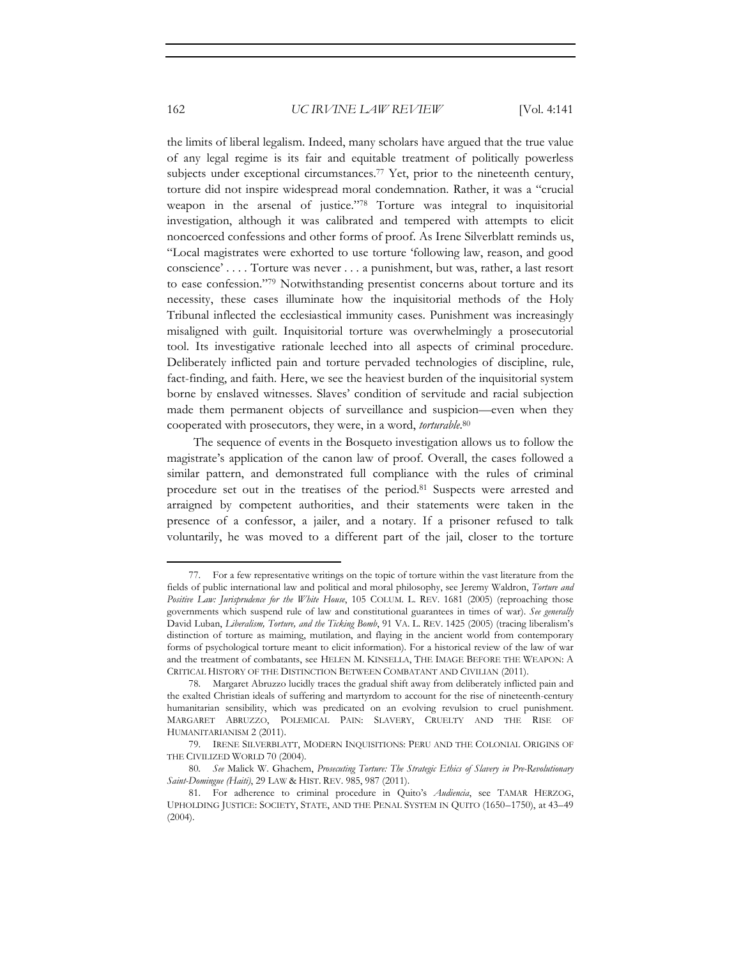the limits of liberal legalism. Indeed, many scholars have argued that the true value of any legal regime is its fair and equitable treatment of politically powerless subjects under exceptional circumstances.77 Yet, prior to the nineteenth century, torture did not inspire widespread moral condemnation. Rather, it was a "crucial weapon in the arsenal of justice."78 Torture was integral to inquisitorial investigation, although it was calibrated and tempered with attempts to elicit noncoerced confessions and other forms of proof. As Irene Silverblatt reminds us, "Local magistrates were exhorted to use torture 'following law, reason, and good conscience' . . . . Torture was never . . . a punishment, but was, rather, a last resort to ease confession."79 Notwithstanding presentist concerns about torture and its necessity, these cases illuminate how the inquisitorial methods of the Holy Tribunal inflected the ecclesiastical immunity cases. Punishment was increasingly misaligned with guilt. Inquisitorial torture was overwhelmingly a prosecutorial tool. Its investigative rationale leeched into all aspects of criminal procedure. Deliberately inflicted pain and torture pervaded technologies of discipline, rule, fact-finding, and faith. Here, we see the heaviest burden of the inquisitorial system borne by enslaved witnesses. Slaves' condition of servitude and racial subjection made them permanent objects of surveillance and suspicion—even when they cooperated with prosecutors, they were, in a word, *torturable*. 80

The sequence of events in the Bosqueto investigation allows us to follow the magistrate's application of the canon law of proof. Overall, the cases followed a similar pattern, and demonstrated full compliance with the rules of criminal procedure set out in the treatises of the period.81 Suspects were arrested and arraigned by competent authorities, and their statements were taken in the presence of a confessor, a jailer, and a notary. If a prisoner refused to talk voluntarily, he was moved to a different part of the jail, closer to the torture

<sup>77.</sup> For a few representative writings on the topic of torture within the vast literature from the fields of public international law and political and moral philosophy, see Jeremy Waldron, *Torture and Positive Law: Jurisprudence for the White House*, 105 COLUM. L. REV. 1681 (2005) (reproaching those governments which suspend rule of law and constitutional guarantees in times of war). *See generally* David Luban, *Liberalism, Torture, and the Ticking Bomb*, 91 VA. L. REV. 1425 (2005) (tracing liberalism's distinction of torture as maiming, mutilation, and flaying in the ancient world from contemporary forms of psychological torture meant to elicit information). For a historical review of the law of war and the treatment of combatants, see HELEN M. KINSELLA, THE IMAGE BEFORE THE WEAPON: A CRITICAL HISTORY OF THE DISTINCTION BETWEEN COMBATANT AND CIVILIAN (2011).

<sup>78.</sup> Margaret Abruzzo lucidly traces the gradual shift away from deliberately inflicted pain and the exalted Christian ideals of suffering and martyrdom to account for the rise of nineteenth-century humanitarian sensibility, which was predicated on an evolving revulsion to cruel punishment. MARGARET ABRUZZO, POLEMICAL PAIN: SLAVERY, CRUELTY AND THE RISE OF HUMANITARIANISM 2 (2011).

<sup>79.</sup> IRENE SILVERBLATT, MODERN INQUISITIONS: PERU AND THE COLONIAL ORIGINS OF THE CIVILIZED WORLD 70 (2004).

<sup>80</sup>*. See* Malick W. Ghachem, *Prosecuting Torture: The Strategic Ethics of Slavery in Pre-Revolutionary Saint-Domingue (Haiti)*, 29 LAW & HIST. REV. 985, 987 (2011).

<sup>81.</sup> For adherence to criminal procedure in Quito's *Audiencia*, see TAMAR HERZOG, UPHOLDING JUSTICE: SOCIETY, STATE, AND THE PENAL SYSTEM IN QUITO (1650–1750), at 43–49 (2004).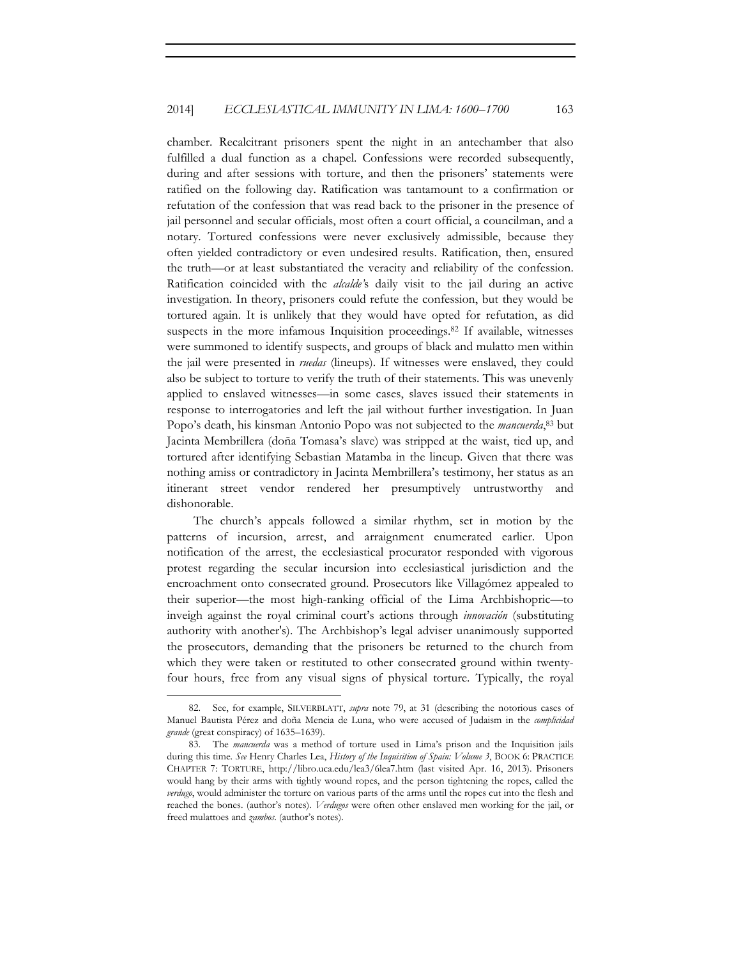chamber. Recalcitrant prisoners spent the night in an antechamber that also fulfilled a dual function as a chapel. Confessions were recorded subsequently, during and after sessions with torture, and then the prisoners' statements were ratified on the following day. Ratification was tantamount to a confirmation or refutation of the confession that was read back to the prisoner in the presence of jail personnel and secular officials, most often a court official, a councilman, and a notary. Tortured confessions were never exclusively admissible, because they often yielded contradictory or even undesired results. Ratification, then, ensured the truth—or at least substantiated the veracity and reliability of the confession. Ratification coincided with the *alcalde'*s daily visit to the jail during an active investigation. In theory, prisoners could refute the confession, but they would be tortured again. It is unlikely that they would have opted for refutation, as did suspects in the more infamous Inquisition proceedings.<sup>82</sup> If available, witnesses were summoned to identify suspects, and groups of black and mulatto men within the jail were presented in *ruedas* (lineups). If witnesses were enslaved, they could also be subject to torture to verify the truth of their statements. This was unevenly applied to enslaved witnesses—in some cases, slaves issued their statements in response to interrogatories and left the jail without further investigation. In Juan Popo's death, his kinsman Antonio Popo was not subjected to the *mancuerda*, 83 but Jacinta Membrillera (doña Tomasa's slave) was stripped at the waist, tied up, and tortured after identifying Sebastian Matamba in the lineup. Given that there was nothing amiss or contradictory in Jacinta Membrillera's testimony, her status as an itinerant street vendor rendered her presumptively untrustworthy and dishonorable.

The church's appeals followed a similar rhythm, set in motion by the patterns of incursion, arrest, and arraignment enumerated earlier. Upon notification of the arrest, the ecclesiastical procurator responded with vigorous protest regarding the secular incursion into ecclesiastical jurisdiction and the encroachment onto consecrated ground. Prosecutors like Villagómez appealed to their superior—the most high-ranking official of the Lima Archbishopric—to inveigh against the royal criminal court's actions through *innovación* (substituting authority with another's). The Archbishop's legal adviser unanimously supported the prosecutors, demanding that the prisoners be returned to the church from which they were taken or restituted to other consecrated ground within twentyfour hours, free from any visual signs of physical torture. Typically, the royal

<sup>82.</sup> See, for example, SILVERBLATT, *supra* note 79, at 31 (describing the notorious cases of Manuel Bautista Pérez and doña Mencia de Luna, who were accused of Judaism in the *complicidad grande* (great conspiracy) of 1635–1639).

<sup>83.</sup> The *mancuerda* was a method of torture used in Lima's prison and the Inquisition jails during this time. *See* Henry Charles Lea, *History of the Inquisition of Spain: Volume 3*, BOOK 6: PRACTICE CHAPTER 7: TORTURE, http://libro.uca.edu/lea3/6lea7.htm (last visited Apr. 16, 2013). Prisoners would hang by their arms with tightly wound ropes, and the person tightening the ropes, called the *verdugo*, would administer the torture on various parts of the arms until the ropes cut into the flesh and reached the bones. (author's notes). *Verdugos* were often other enslaved men working for the jail, or freed mulattoes and *zambos*. (author's notes).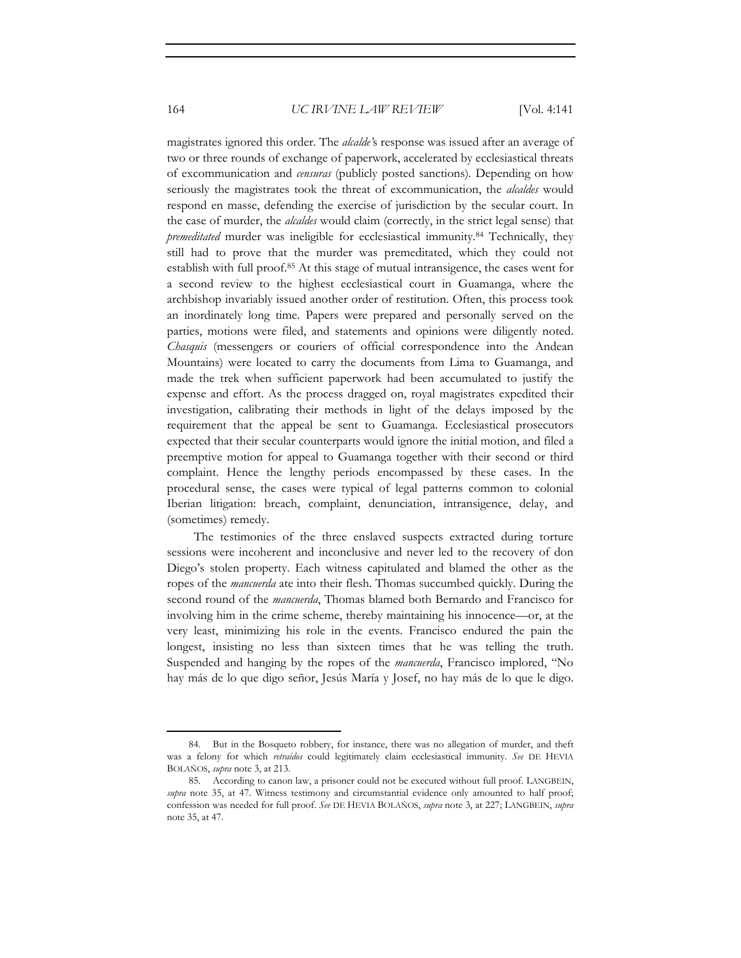magistrates ignored this order. The *alcalde'*s response was issued after an average of two or three rounds of exchange of paperwork, accelerated by ecclesiastical threats of excommunication and *censuras* (publicly posted sanctions)*.* Depending on how seriously the magistrates took the threat of excommunication, the *alcaldes* would respond en masse, defending the exercise of jurisdiction by the secular court. In the case of murder, the *alcaldes* would claim (correctly, in the strict legal sense) that *premeditated* murder was ineligible for ecclesiastical immunity.84 Technically, they still had to prove that the murder was premeditated, which they could not establish with full proof.85 At this stage of mutual intransigence, the cases went for a second review to the highest ecclesiastical court in Guamanga, where the archbishop invariably issued another order of restitution. Often, this process took an inordinately long time. Papers were prepared and personally served on the parties, motions were filed, and statements and opinions were diligently noted. *Chasquis* (messengers or couriers of official correspondence into the Andean Mountains) were located to carry the documents from Lima to Guamanga, and made the trek when sufficient paperwork had been accumulated to justify the expense and effort. As the process dragged on, royal magistrates expedited their investigation, calibrating their methods in light of the delays imposed by the requirement that the appeal be sent to Guamanga. Ecclesiastical prosecutors expected that their secular counterparts would ignore the initial motion, and filed a preemptive motion for appeal to Guamanga together with their second or third complaint. Hence the lengthy periods encompassed by these cases. In the procedural sense, the cases were typical of legal patterns common to colonial Iberian litigation: breach, complaint, denunciation, intransigence, delay, and (sometimes) remedy.

The testimonies of the three enslaved suspects extracted during torture sessions were incoherent and inconclusive and never led to the recovery of don Diego's stolen property. Each witness capitulated and blamed the other as the ropes of the *mancuerda* ate into their flesh. Thomas succumbed quickly. During the second round of the *mancuerda*, Thomas blamed both Bernardo and Francisco for involving him in the crime scheme, thereby maintaining his innocence—or, at the very least, minimizing his role in the events. Francisco endured the pain the longest, insisting no less than sixteen times that he was telling the truth. Suspended and hanging by the ropes of the *mancuerda*, Francisco implored, "No hay más de lo que digo señor, Jesús María y Josef, no hay más de lo que le digo.

<sup>84.</sup> But in the Bosqueto robbery, for instance, there was no allegation of murder, and theft was a felony for which *retraídos* could legitimately claim ecclesiastical immunity. *See* DE HEVIA BOLAÑOS, *supra* note 3, at 213.

<sup>85.</sup> According to canon law, a prisoner could not be executed without full proof. LANGBEIN, *supra* note 35, at 47. Witness testimony and circumstantial evidence only amounted to half proof; confession was needed for full proof. *See* DE HEVIA BOLAÑOS, *supra* note 3, at 227; LANGBEIN, *supra*  note 35, at 47.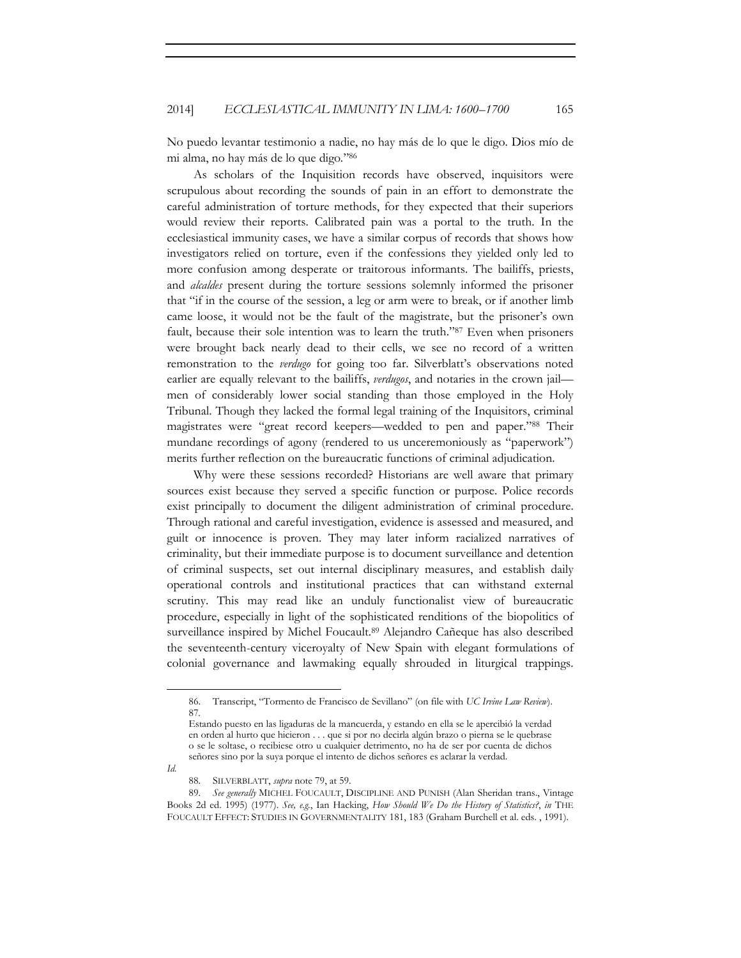No puedo levantar testimonio a nadie, no hay más de lo que le digo. Dios mío de mi alma, no hay más de lo que digo*.*"86

As scholars of the Inquisition records have observed, inquisitors were scrupulous about recording the sounds of pain in an effort to demonstrate the careful administration of torture methods, for they expected that their superiors would review their reports. Calibrated pain was a portal to the truth. In the ecclesiastical immunity cases, we have a similar corpus of records that shows how investigators relied on torture, even if the confessions they yielded only led to more confusion among desperate or traitorous informants. The bailiffs, priests, and *alcaldes* present during the torture sessions solemnly informed the prisoner that "if in the course of the session, a leg or arm were to break, or if another limb came loose, it would not be the fault of the magistrate, but the prisoner's own fault, because their sole intention was to learn the truth."87 Even when prisoners were brought back nearly dead to their cells, we see no record of a written remonstration to the *verdugo* for going too far. Silverblatt's observations noted earlier are equally relevant to the bailiffs, *verdugos*, and notaries in the crown jail men of considerably lower social standing than those employed in the Holy Tribunal. Though they lacked the formal legal training of the Inquisitors, criminal magistrates were "great record keepers—wedded to pen and paper."88 Their mundane recordings of agony (rendered to us unceremoniously as "paperwork") merits further reflection on the bureaucratic functions of criminal adjudication.

Why were these sessions recorded? Historians are well aware that primary sources exist because they served a specific function or purpose. Police records exist principally to document the diligent administration of criminal procedure. Through rational and careful investigation, evidence is assessed and measured, and guilt or innocence is proven. They may later inform racialized narratives of criminality, but their immediate purpose is to document surveillance and detention of criminal suspects, set out internal disciplinary measures, and establish daily operational controls and institutional practices that can withstand external scrutiny. This may read like an unduly functionalist view of bureaucratic procedure, especially in light of the sophisticated renditions of the biopolitics of surveillance inspired by Michel Foucault.<sup>89</sup> Alejandro Cañeque has also described the seventeenth-century viceroyalty of New Spain with elegant formulations of colonial governance and lawmaking equally shrouded in liturgical trappings.

*Id.*

<sup>86.</sup> Transcript, "Tormento de Francisco de Sevillano" (on file with *UC Irvine Law Review*). 87*.* 

Estando puesto en las ligaduras de la mancuerda, y estando en ella se le apercibió la verdad en orden al hurto que hicieron . . . que si por no decirla algún brazo o pierna se le quebrase o se le soltase, o recibiese otro u cualquier detrimento, no ha de ser por cuenta de dichos señores sino por la suya porque el intento de dichos señores es aclarar la verdad.

<sup>88.</sup> SILVERBLATT, *supra* note 79, at 59.

<sup>89.</sup> *See generally* MICHEL FOUCAULT, DISCIPLINE AND PUNISH (Alan Sheridan trans., Vintage Books 2d ed. 1995) (1977). *See, e.g.*, Ian Hacking, *How Should We Do the History of Statistics?*, *in* THE FOUCAULT EFFECT: STUDIES IN GOVERNMENTALITY 181, 183 (Graham Burchell et al. eds. , 1991).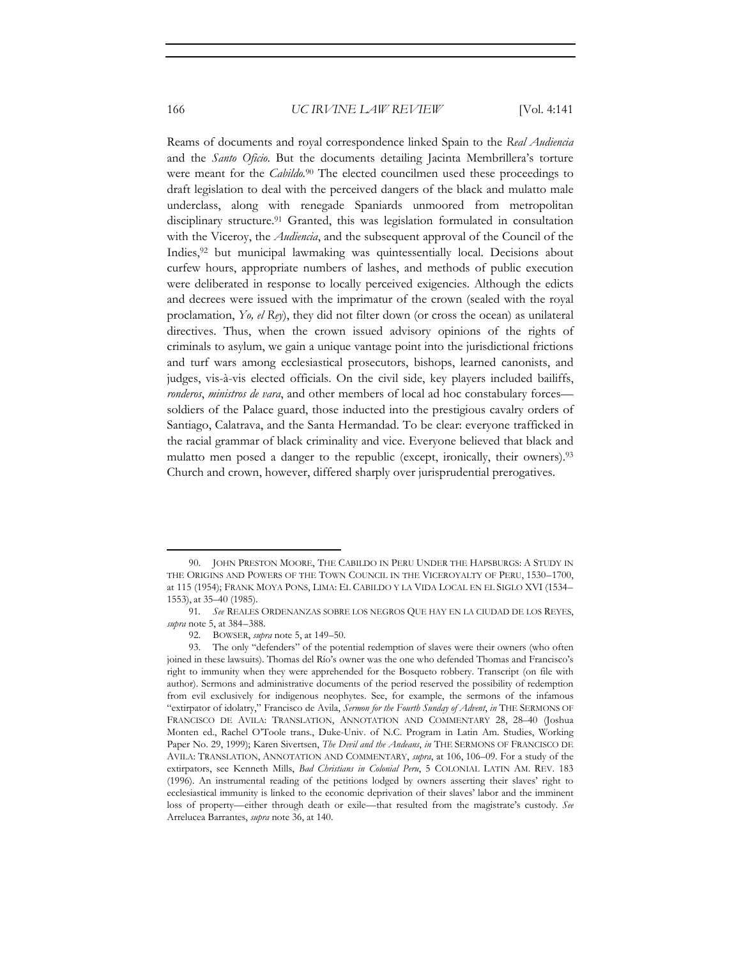Reams of documents and royal correspondence linked Spain to the *Real Audiencia* and the *Santo Oficio*. But the documents detailing Jacinta Membrillera's torture were meant for the *Cabildo.*90 The elected councilmen used these proceedings to draft legislation to deal with the perceived dangers of the black and mulatto male underclass, along with renegade Spaniards unmoored from metropolitan disciplinary structure.91 Granted, this was legislation formulated in consultation with the Viceroy, the *Audiencia*, and the subsequent approval of the Council of the Indies,92 but municipal lawmaking was quintessentially local. Decisions about curfew hours, appropriate numbers of lashes, and methods of public execution were deliberated in response to locally perceived exigencies. Although the edicts and decrees were issued with the imprimatur of the crown (sealed with the royal proclamation, *Yo, el Rey*), they did not filter down (or cross the ocean) as unilateral directives. Thus, when the crown issued advisory opinions of the rights of criminals to asylum, we gain a unique vantage point into the jurisdictional frictions and turf wars among ecclesiastical prosecutors, bishops, learned canonists, and judges, vis-à-vis elected officials. On the civil side, key players included bailiffs, *ronderos*, *ministros de vara*, and other members of local ad hoc constabulary forces soldiers of the Palace guard, those inducted into the prestigious cavalry orders of Santiago, Calatrava, and the Santa Hermandad. To be clear: everyone trafficked in the racial grammar of black criminality and vice. Everyone believed that black and mulatto men posed a danger to the republic (except, ironically, their owners).<sup>93</sup> Church and crown, however, differed sharply over jurisprudential prerogatives.

<sup>90.</sup> JOHN PRESTON MOORE, THE CABILDO IN PERU UNDER THE HAPSBURGS: A STUDY IN THE ORIGINS AND POWERS OF THE TOWN COUNCIL IN THE VICEROYALTY OF PERU, 1530–1700, at 115 (1954); FRANK MOYA PONS, LIMA: EL CABILDO Y LA VIDA LOCAL EN EL SIGLO XVI (1534– 1553), at 35–40 (1985).

<sup>91</sup>*. See* REALES ORDENANZAS SOBRE LOS NEGROS QUE HAY EN LA CIUDAD DE LOS REYES, *supra* note 5, at 384–388.

<sup>92.</sup> BOWSER, *supra* note 5, at 149–50.

<sup>93.</sup> The only "defenders" of the potential redemption of slaves were their owners (who often joined in these lawsuits). Thomas del Río's owner was the one who defended Thomas and Francisco's right to immunity when they were apprehended for the Bosqueto robbery. Transcript (on file with author). Sermons and administrative documents of the period reserved the possibility of redemption from evil exclusively for indigenous neophytes. See, for example, the sermons of the infamous "extirpator of idolatry," Francisco de Avila, *Sermon for the Fourth Sunday of Advent*, *in* THE SERMONS OF FRANCISCO DE AVILA: TRANSLATION, ANNOTATION AND COMMENTARY 28, 28–40 (Joshua Monten ed., Rachel O'Toole trans., Duke-Univ. of N.C. Program in Latin Am. Studies, Working Paper No. 29, 1999); Karen Sivertsen, *The Devil and the Andeans*, *in* THE SERMONS OF FRANCISCO DE AVILA: TRANSLATION, ANNOTATION AND COMMENTARY, *supra*, at 106, 106–09. For a study of the extirpators, see Kenneth Mills, *Bad Christians in Colonial Peru*, 5 COLONIAL LATIN AM. REV. 183 (1996). An instrumental reading of the petitions lodged by owners asserting their slaves' right to ecclesiastical immunity is linked to the economic deprivation of their slaves' labor and the imminent loss of property—either through death or exile—that resulted from the magistrate's custody. *See* Arrelucea Barrantes, *supra* note 36, at 140.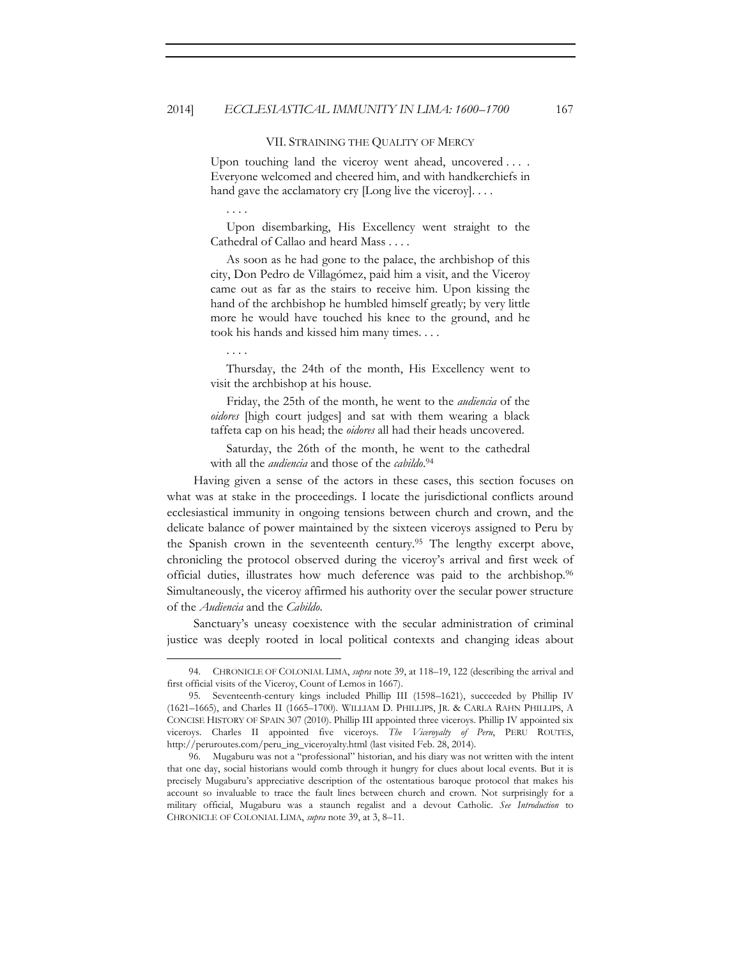#### VII. STRAINING THE QUALITY OF MERCY

Upon touching land the viceroy went ahead, uncovered . . . . Everyone welcomed and cheered him, and with handkerchiefs in hand gave the acclamatory cry  $[Long live the viceory]. \ldots$ 

. . . .

 Upon disembarking, His Excellency went straight to the Cathedral of Callao and heard Mass . . . .

 As soon as he had gone to the palace, the archbishop of this city, Don Pedro de Villagómez, paid him a visit, and the Viceroy came out as far as the stairs to receive him. Upon kissing the hand of the archbishop he humbled himself greatly; by very little more he would have touched his knee to the ground, and he took his hands and kissed him many times. . . .

. . . .

 Thursday, the 24th of the month, His Excellency went to visit the archbishop at his house.

 Friday, the 25th of the month, he went to the *audiencia* of the *oidores* [high court judges] and sat with them wearing a black taffeta cap on his head; the *oidores* all had their heads uncovered.

 Saturday, the 26th of the month, he went to the cathedral with all the *audiencia* and those of the *cabildo*. 94

Having given a sense of the actors in these cases, this section focuses on what was at stake in the proceedings. I locate the jurisdictional conflicts around ecclesiastical immunity in ongoing tensions between church and crown, and the delicate balance of power maintained by the sixteen viceroys assigned to Peru by the Spanish crown in the seventeenth century.95 The lengthy excerpt above, chronicling the protocol observed during the viceroy's arrival and first week of official duties, illustrates how much deference was paid to the archbishop.96 Simultaneously, the viceroy affirmed his authority over the secular power structure of the *Audiencia* and the *Cabildo*.

Sanctuary's uneasy coexistence with the secular administration of criminal justice was deeply rooted in local political contexts and changing ideas about

<sup>94.</sup> CHRONICLE OF COLONIAL LIMA, *supra* note 39, at 118–19, 122 (describing the arrival and first official visits of the Viceroy, Count of Lemos in 1667).

<sup>95.</sup> Seventeenth-century kings included Phillip III (1598–1621), succeeded by Phillip IV (1621–1665), and Charles II (1665–1700). WILLIAM D. PHILLIPS, JR. & CARLA RAHN PHILLIPS, A CONCISE HISTORY OF SPAIN 307 (2010). Phillip III appointed three viceroys. Phillip IV appointed six viceroys. Charles II appointed five viceroys. *The Viceroyalty of Peru*, PERU ROUTES, http://peruroutes.com/peru\_ing\_viceroyalty.html (last visited Feb. 28, 2014).

<sup>96.</sup> Mugaburu was not a "professional" historian, and his diary was not written with the intent that one day, social historians would comb through it hungry for clues about local events. But it is precisely Mugaburu's appreciative description of the ostentatious baroque protocol that makes his account so invaluable to trace the fault lines between church and crown. Not surprisingly for a military official, Mugaburu was a staunch regalist and a devout Catholic. *See Introduction* to CHRONICLE OF COLONIAL LIMA, *supra* note 39, at 3, 8–11.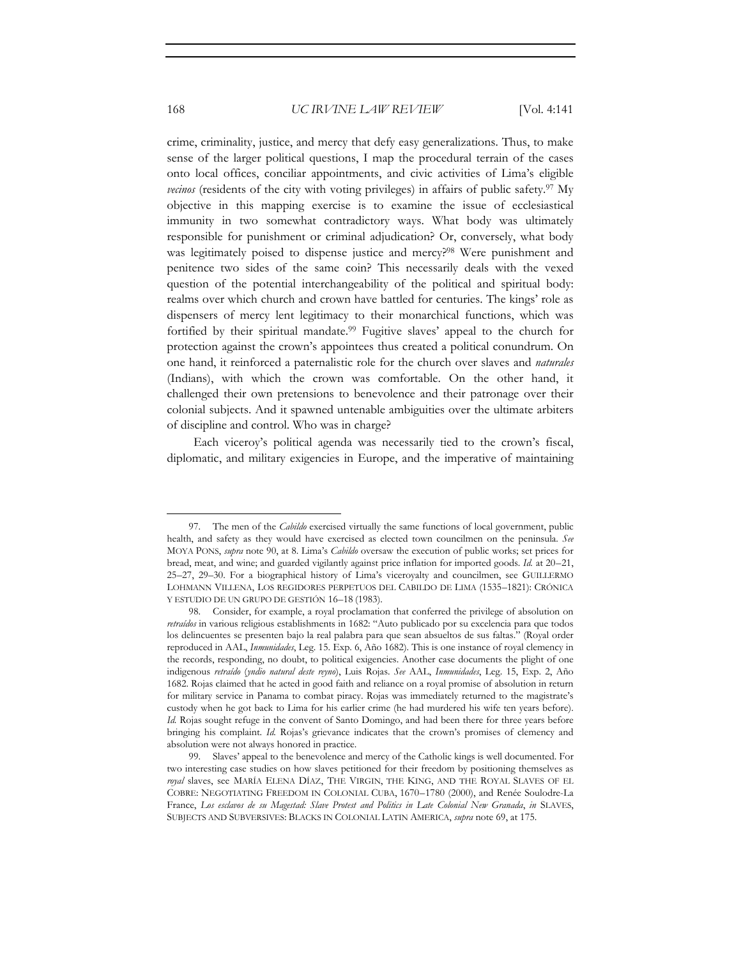crime, criminality, justice, and mercy that defy easy generalizations. Thus, to make sense of the larger political questions, I map the procedural terrain of the cases onto local offices, conciliar appointments, and civic activities of Lima's eligible *vecinos* (residents of the city with voting privileges) in affairs of public safety.<sup>97</sup> My objective in this mapping exercise is to examine the issue of ecclesiastical immunity in two somewhat contradictory ways. What body was ultimately responsible for punishment or criminal adjudication? Or, conversely, what body was legitimately poised to dispense justice and mercy?<sup>98</sup> Were punishment and penitence two sides of the same coin? This necessarily deals with the vexed question of the potential interchangeability of the political and spiritual body: realms over which church and crown have battled for centuries. The kings' role as dispensers of mercy lent legitimacy to their monarchical functions, which was fortified by their spiritual mandate.<sup>99</sup> Fugitive slaves' appeal to the church for protection against the crown's appointees thus created a political conundrum. On one hand, it reinforced a paternalistic role for the church over slaves and *naturales* (Indians), with which the crown was comfortable. On the other hand, it challenged their own pretensions to benevolence and their patronage over their colonial subjects. And it spawned untenable ambiguities over the ultimate arbiters of discipline and control. Who was in charge?

Each viceroy's political agenda was necessarily tied to the crown's fiscal, diplomatic, and military exigencies in Europe, and the imperative of maintaining

<sup>97.</sup> The men of the *Cabildo* exercised virtually the same functions of local government, public health, and safety as they would have exercised as elected town councilmen on the peninsula. *See* MOYA PONS, *supra* note 90, at 8. Lima's *Cabildo* oversaw the execution of public works; set prices for bread, meat, and wine; and guarded vigilantly against price inflation for imported goods. *Id.* at 20–21, 25–27, 29–30. For a biographical history of Lima's viceroyalty and councilmen, see GUILLERMO LOHMANN VILLENA, LOS REGIDORES PERPETUOS DEL CABILDO DE LIMA (1535–1821): CRÓNICA Y ESTUDIO DE UN GRUPO DE GESTIÓN 16–18 (1983).

<sup>98.</sup> Consider, for example, a royal proclamation that conferred the privilege of absolution on *retraídos* in various religious establishments in 1682: "Auto publicado por su excelencia para que todos los delincuentes se presenten bajo la real palabra para que sean absueltos de sus faltas." (Royal order reproduced in AAL, *Inmunidades*, Leg. 15. Exp. 6, Año 1682). This is one instance of royal clemency in the records, responding, no doubt, to political exigencies. Another case documents the plight of one indigenous *retraído* (*yndio natural deste reyno*), Luis Rojas. *See* AAL, *Inmunidades*, Leg. 15, Exp. 2, Año 1682. Rojas claimed that he acted in good faith and reliance on a royal promise of absolution in return for military service in Panama to combat piracy. Rojas was immediately returned to the magistrate's custody when he got back to Lima for his earlier crime (he had murdered his wife ten years before). *Id.* Rojas sought refuge in the convent of Santo Domingo, and had been there for three years before bringing his complaint. *Id.* Rojas's grievance indicates that the crown's promises of clemency and absolution were not always honored in practice.

<sup>99.</sup> Slaves' appeal to the benevolence and mercy of the Catholic kings is well documented. For two interesting case studies on how slaves petitioned for their freedom by positioning themselves as *royal* slaves, see MARÍA ELENA DÍAZ, THE VIRGIN, THE KING, AND THE ROYAL SLAVES OF EL COBRE: NEGOTIATING FREEDOM IN COLONIAL CUBA, 1670–1780 (2000), and Renée Soulodre-La France, *Los esclavos de su Magestad: Slave Protest and Politics in Late Colonial New Granada*, *in* SLAVES, SUBJECTS AND SUBVERSIVES: BLACKS IN COLONIAL LATIN AMERICA, *supra* note 69, at 175.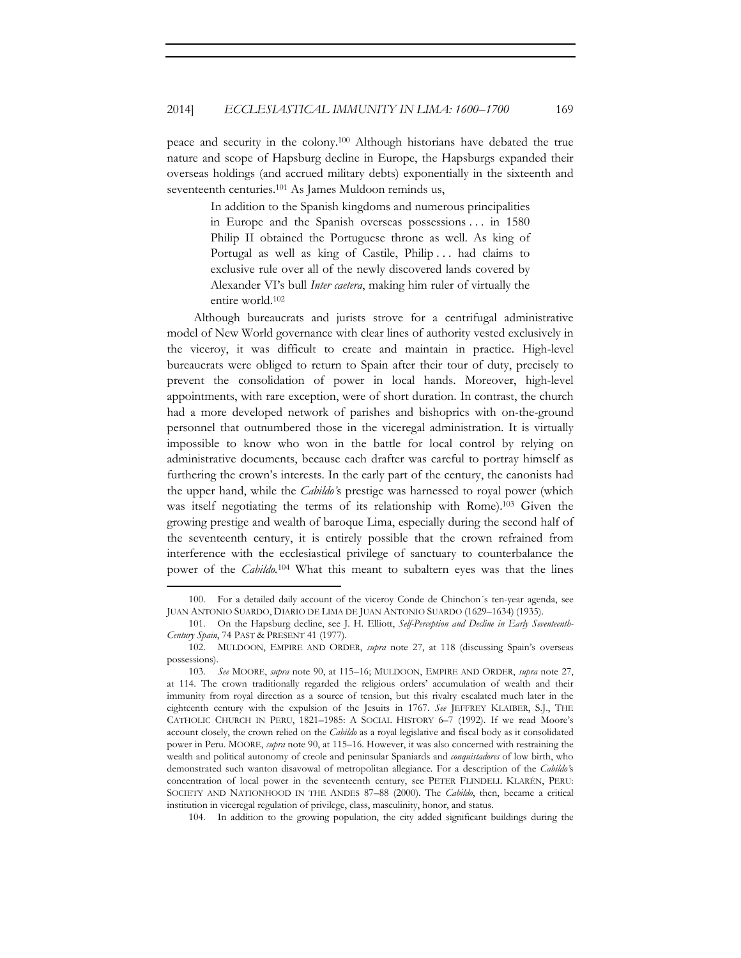peace and security in the colony.100 Although historians have debated the true nature and scope of Hapsburg decline in Europe, the Hapsburgs expanded their overseas holdings (and accrued military debts) exponentially in the sixteenth and seventeenth centuries.<sup>101</sup> As James Muldoon reminds us,

> In addition to the Spanish kingdoms and numerous principalities in Europe and the Spanish overseas possessions . . . in 1580 Philip II obtained the Portuguese throne as well. As king of Portugal as well as king of Castile, Philip . . . had claims to exclusive rule over all of the newly discovered lands covered by Alexander VI's bull *Inter caetera*, making him ruler of virtually the entire world.102

Although bureaucrats and jurists strove for a centrifugal administrative model of New World governance with clear lines of authority vested exclusively in the viceroy, it was difficult to create and maintain in practice. High-level bureaucrats were obliged to return to Spain after their tour of duty, precisely to prevent the consolidation of power in local hands. Moreover, high-level appointments, with rare exception, were of short duration. In contrast, the church had a more developed network of parishes and bishoprics with on-the-ground personnel that outnumbered those in the viceregal administration. It is virtually impossible to know who won in the battle for local control by relying on administrative documents, because each drafter was careful to portray himself as furthering the crown's interests. In the early part of the century, the canonists had the upper hand, while the *Cabildo'*s prestige was harnessed to royal power (which was itself negotiating the terms of its relationship with Rome).103 Given the growing prestige and wealth of baroque Lima, especially during the second half of the seventeenth century, it is entirely possible that the crown refrained from interference with the ecclesiastical privilege of sanctuary to counterbalance the power of the *Cabildo.*104 What this meant to subaltern eyes was that the lines

104. In addition to the growing population, the city added significant buildings during the

<sup>100.</sup> For a detailed daily account of the viceroy Conde de Chinchon´s ten-year agenda, see JUAN ANTONIO SUARDO, DIARIO DE LIMA DE JUAN ANTONIO SUARDO (1629–1634) (1935).

<sup>101.</sup> On the Hapsburg decline, see J. H. Elliott, *Self-Perception and Decline in Early Seventeenth-Century Spain*, 74 PAST & PRESENT 41 (1977).

<sup>102.</sup> MULDOON, EMPIRE AND ORDER, *supra* note 27, at 118 (discussing Spain's overseas possessions).

<sup>103</sup>*. See* MOORE, *supra* note 90, at 115–16; MULDOON, EMPIRE AND ORDER, *supra* note 27, at 114. The crown traditionally regarded the religious orders' accumulation of wealth and their immunity from royal direction as a source of tension, but this rivalry escalated much later in the eighteenth century with the expulsion of the Jesuits in 1767. *See* JEFFREY KLAIBER, S.J., THE CATHOLIC CHURCH IN PERU, 1821–1985: A SOCIAL HISTORY 6–7 (1992). If we read Moore's account closely, the crown relied on the *Cabildo* as a royal legislative and fiscal body as it consolidated power in Peru. MOORE, *supra* note 90, at 115–16. However, it was also concerned with restraining the wealth and political autonomy of creole and peninsular Spaniards and *conquistadores* of low birth, who demonstrated such wanton disavowal of metropolitan allegiance. For a description of the *Cabildo'*s concentration of local power in the seventeenth century, see PETER FLINDELL KLARÉN, PERU: SOCIETY AND NATIONHOOD IN THE ANDES 87–88 (2000). The *Cabildo*, then, became a critical institution in viceregal regulation of privilege, class, masculinity, honor, and status.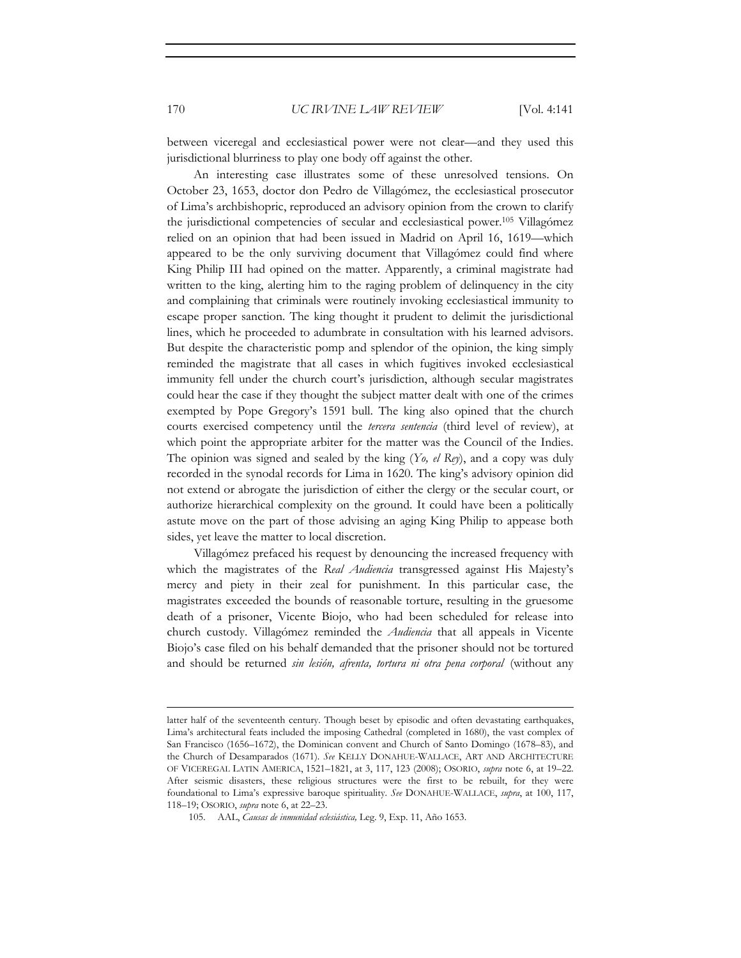between viceregal and ecclesiastical power were not clear—and they used this jurisdictional blurriness to play one body off against the other.

An interesting case illustrates some of these unresolved tensions. On October 23, 1653, doctor don Pedro de Villagómez, the ecclesiastical prosecutor of Lima's archbishopric, reproduced an advisory opinion from the crown to clarify the jurisdictional competencies of secular and ecclesiastical power.105 Villagómez relied on an opinion that had been issued in Madrid on April 16, 1619—which appeared to be the only surviving document that Villagómez could find where King Philip III had opined on the matter. Apparently, a criminal magistrate had written to the king, alerting him to the raging problem of delinquency in the city and complaining that criminals were routinely invoking ecclesiastical immunity to escape proper sanction. The king thought it prudent to delimit the jurisdictional lines, which he proceeded to adumbrate in consultation with his learned advisors. But despite the characteristic pomp and splendor of the opinion, the king simply reminded the magistrate that all cases in which fugitives invoked ecclesiastical immunity fell under the church court's jurisdiction, although secular magistrates could hear the case if they thought the subject matter dealt with one of the crimes exempted by Pope Gregory's 1591 bull. The king also opined that the church courts exercised competency until the *tercera sentencia* (third level of review), at which point the appropriate arbiter for the matter was the Council of the Indies. The opinion was signed and sealed by the king (*Yo, el Rey*), and a copy was duly recorded in the synodal records for Lima in 1620. The king's advisory opinion did not extend or abrogate the jurisdiction of either the clergy or the secular court, or authorize hierarchical complexity on the ground. It could have been a politically astute move on the part of those advising an aging King Philip to appease both sides, yet leave the matter to local discretion.

Villagómez prefaced his request by denouncing the increased frequency with which the magistrates of the *Real Audiencia* transgressed against His Majesty's mercy and piety in their zeal for punishment. In this particular case, the magistrates exceeded the bounds of reasonable torture, resulting in the gruesome death of a prisoner, Vicente Biojo, who had been scheduled for release into church custody. Villagómez reminded the *Audiencia* that all appeals in Vicente Biojo's case filed on his behalf demanded that the prisoner should not be tortured and should be returned *sin lesión, afrenta, tortura ni otra pena corporal* (without any

<u> 1989 - Johann Stein, marwolaethau a bhann an t-Amhain an t-Amhain an t-Amhain an t-Amhain an t-Amhain an t-A</u>

latter half of the seventeenth century. Though beset by episodic and often devastating earthquakes, Lima's architectural feats included the imposing Cathedral (completed in 1680), the vast complex of San Francisco (1656–1672), the Dominican convent and Church of Santo Domingo (1678–83), and the Church of Desamparados (1671). *See* KELLY DONAHUE-WALLACE, ART AND ARCHITECTURE OF VICEREGAL LATIN AMERICA, 1521–1821, at 3, 117, 123 (2008); OSORIO, *supra* note 6, at 19–22. After seismic disasters, these religious structures were the first to be rebuilt, for they were foundational to Lima's expressive baroque spirituality. *See* DONAHUE-WALLACE, *supra*, at 100, 117, 118–19; OSORIO, *supra* note 6, at 22–23.

<sup>105.</sup> AAL, *Causas de inmunidad eclesiástica,* Leg. 9, Exp. 11, Año 1653.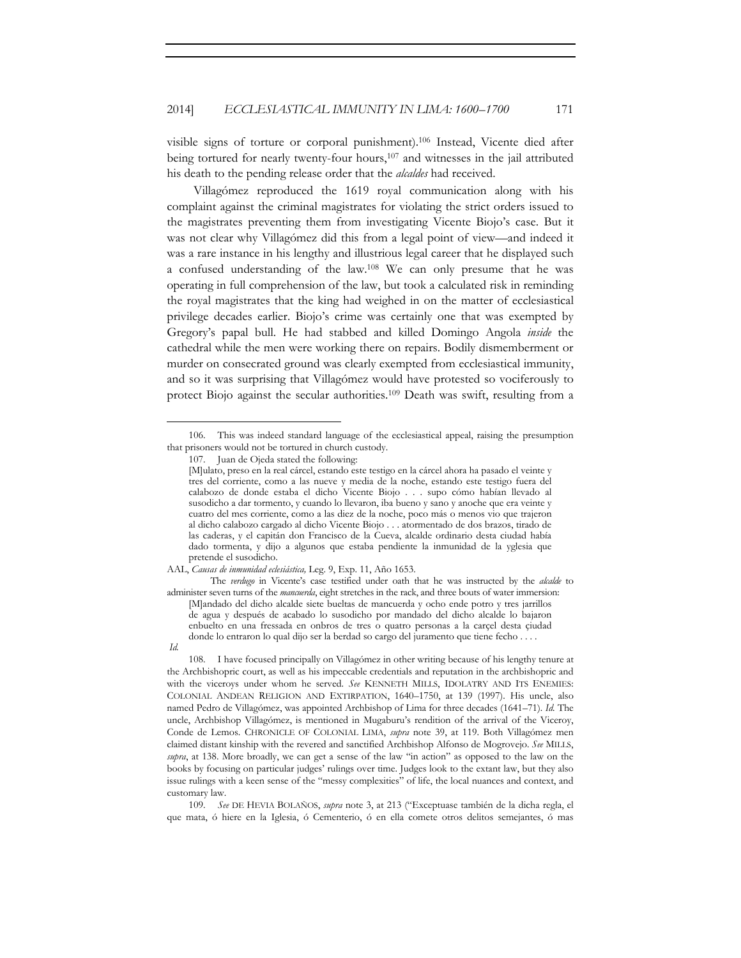visible signs of torture or corporal punishment).106 Instead, Vicente died after being tortured for nearly twenty-four hours,<sup>107</sup> and witnesses in the jail attributed his death to the pending release order that the *alcaldes* had received.

Villagómez reproduced the 1619 royal communication along with his complaint against the criminal magistrates for violating the strict orders issued to the magistrates preventing them from investigating Vicente Biojo's case. But it was not clear why Villagómez did this from a legal point of view—and indeed it was a rare instance in his lengthy and illustrious legal career that he displayed such a confused understanding of the law.108 We can only presume that he was operating in full comprehension of the law, but took a calculated risk in reminding the royal magistrates that the king had weighed in on the matter of ecclesiastical privilege decades earlier. Biojo's crime was certainly one that was exempted by Gregory's papal bull. He had stabbed and killed Domingo Angola *inside* the cathedral while the men were working there on repairs. Bodily dismemberment or murder on consecrated ground was clearly exempted from ecclesiastical immunity, and so it was surprising that Villagómez would have protested so vociferously to protect Biojo against the secular authorities.109 Death was swift, resulting from a

AAL, *Causas de inmunidad eclesiástica,* Leg. 9, Exp. 11, Año 1653.

 The *verdugo* in Vicente's case testified under oath that he was instructed by the *alcalde* to administer seven turns of the *mancuerda*, eight stretches in the rack, and three bouts of water immersion: [M]andado del dicho alcalde siete bueltas de mancuerda y ocho ende potro y tres jarrillos de agua y después de acabado lo susodicho por mandado del dicho alcalde lo bajaron enbuelto en una fressada en onbros de tres o quatro personas a la carçel desta çiudad donde lo entraron lo qual dijo ser la berdad so cargo del juramento que tiene fecho . . . . *Id.*

108. I have focused principally on Villagómez in other writing because of his lengthy tenure at the Archbishopric court, as well as his impeccable credentials and reputation in the archbishopric and with the viceroys under whom he served. *See* KENNETH MILLS, IDOLATRY AND ITS ENEMIES: COLONIAL ANDEAN RELIGION AND EXTIRPATION, 1640–1750, at 139 (1997). His uncle, also named Pedro de Villagómez, was appointed Archbishop of Lima for three decades (1641–71). *Id.* The uncle, Archbishop Villagómez, is mentioned in Mugaburu's rendition of the arrival of the Viceroy, Conde de Lemos. CHRONICLE OF COLONIAL LIMA, *supra* note 39, at 119. Both Villagómez men claimed distant kinship with the revered and sanctified Archbishop Alfonso de Mogrovejo. *See* MILLS, *supra*, at 138. More broadly, we can get a sense of the law "in action" as opposed to the law on the books by focusing on particular judges' rulings over time. Judges look to the extant law, but they also issue rulings with a keen sense of the "messy complexities" of life, the local nuances and context, and customary law.

109*. See* DE HEVIA BOLAÑOS, *supra* note 3, at 213 ("Exceptuase también de la dicha regla, el que mata, ó hiere en la Iglesia, ó Cementerio, ó en ella comete otros delitos semejantes, ó mas

<sup>106.</sup> This was indeed standard language of the ecclesiastical appeal, raising the presumption that prisoners would not be tortured in church custody.

<sup>107.</sup> Juan de Ojeda stated the following:

<sup>[</sup>M]ulato, preso en la real cárcel, estando este testigo en la cárcel ahora ha pasado el veinte y tres del corriente, como a las nueve y media de la noche, estando este testigo fuera del calabozo de donde estaba el dicho Vicente Biojo . . . supo cómo habían llevado al susodicho a dar tormento, y cuando lo llevaron, iba bueno y sano y anoche que era veinte y cuatro del mes corriente, como a las diez de la noche, poco más o menos vio que trajeron al dicho calabozo cargado al dicho Vicente Biojo . . . atormentado de dos brazos, tirado de las caderas, y el capitán don Francisco de la Cueva, alcalde ordinario desta ciudad había dado tormenta, y dijo a algunos que estaba pendiente la inmunidad de la yglesia que pretende el susodicho.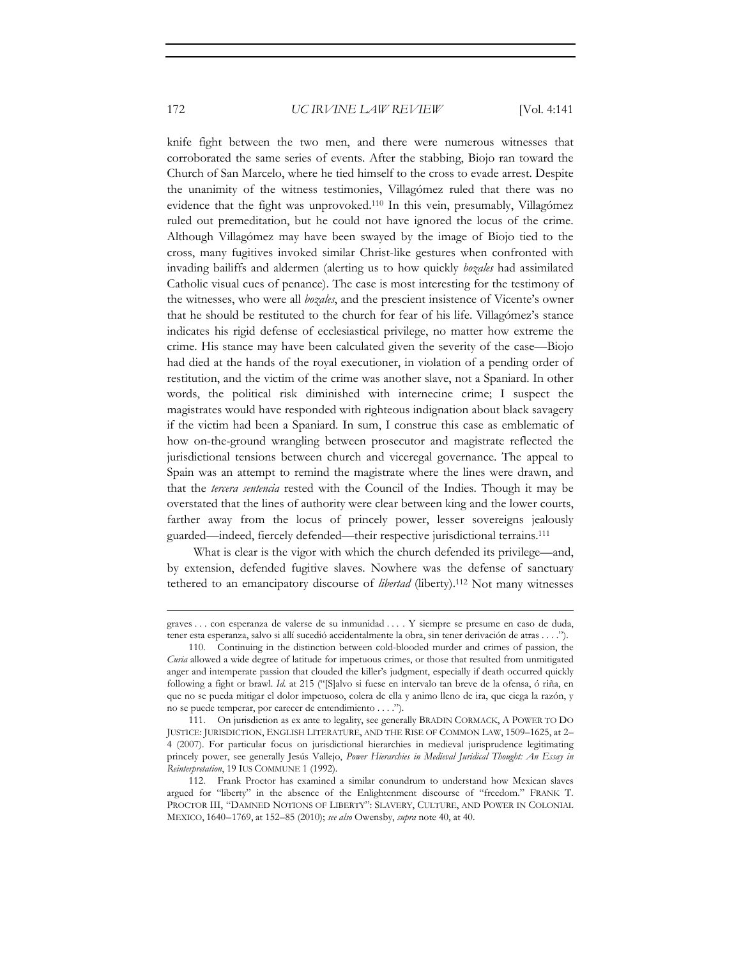knife fight between the two men, and there were numerous witnesses that corroborated the same series of events. After the stabbing, Biojo ran toward the Church of San Marcelo, where he tied himself to the cross to evade arrest. Despite the unanimity of the witness testimonies, Villagómez ruled that there was no evidence that the fight was unprovoked.110 In this vein, presumably, Villagómez ruled out premeditation, but he could not have ignored the locus of the crime. Although Villagómez may have been swayed by the image of Biojo tied to the cross, many fugitives invoked similar Christ-like gestures when confronted with invading bailiffs and aldermen (alerting us to how quickly *bozales* had assimilated Catholic visual cues of penance). The case is most interesting for the testimony of the witnesses, who were all *bozales*, and the prescient insistence of Vicente's owner that he should be restituted to the church for fear of his life. Villagómez's stance indicates his rigid defense of ecclesiastical privilege, no matter how extreme the crime. His stance may have been calculated given the severity of the case—Biojo had died at the hands of the royal executioner, in violation of a pending order of restitution, and the victim of the crime was another slave, not a Spaniard. In other words, the political risk diminished with internecine crime; I suspect the magistrates would have responded with righteous indignation about black savagery if the victim had been a Spaniard. In sum, I construe this case as emblematic of how on-the-ground wrangling between prosecutor and magistrate reflected the jurisdictional tensions between church and viceregal governance. The appeal to Spain was an attempt to remind the magistrate where the lines were drawn, and that the *tercera sentencia* rested with the Council of the Indies. Though it may be overstated that the lines of authority were clear between king and the lower courts, farther away from the locus of princely power, lesser sovereigns jealously guarded—indeed, fiercely defended—their respective jurisdictional terrains.111

What is clear is the vigor with which the church defended its privilege—and, by extension, defended fugitive slaves. Nowhere was the defense of sanctuary tethered to an emancipatory discourse of *libertad* (liberty).112 Not many witnesses

<sup>&</sup>lt;u> 1989 - Johann Stein, marwolaethau a bhann an t-Amhain an t-Amhain an t-Amhain an t-Amhain an t-Amhain an t-A</u> graves . . . con esperanza de valerse de su inmunidad . . . . Y siempre se presume en caso de duda, tener esta esperanza, salvo si allí sucedió accidentalmente la obra, sin tener derivación de atras . . . .").

<sup>110.</sup> Continuing in the distinction between cold-blooded murder and crimes of passion, the *Curia* allowed a wide degree of latitude for impetuous crimes, or those that resulted from unmitigated anger and intemperate passion that clouded the killer's judgment, especially if death occurred quickly following a fight or brawl. *Id.* at 215 ("[S]alvo si fuese en intervalo tan breve de la ofensa, ó riña, en que no se pueda mitigar el dolor impetuoso, colera de ella y animo lleno de ira, que ciega la razón, y no se puede temperar, por carecer de entendimiento . . . .").

<sup>111.</sup> On jurisdiction as ex ante to legality, see generally BRADIN CORMACK, A POWER TO DO JUSTICE: JURISDICTION, ENGLISH LITERATURE, AND THE RISE OF COMMON LAW, 1509–1625, at 2– 4 (2007). For particular focus on jurisdictional hierarchies in medieval jurisprudence legitimating princely power, see generally Jesús Vallejo, *Power Hierarchies in Medieval Juridical Thought: An Essay in Reinterpretation*, 19 IUS COMMUNE 1 (1992).

<sup>112.</sup> Frank Proctor has examined a similar conundrum to understand how Mexican slaves argued for "liberty" in the absence of the Enlightenment discourse of "freedom." FRANK T. PROCTOR III, "DAMNED NOTIONS OF LIBERTY": SLAVERY, CULTURE, AND POWER IN COLONIAL MEXICO, 1640–1769, at 152–85 (2010); *see also* Owensby, *supra* note 40, at 40.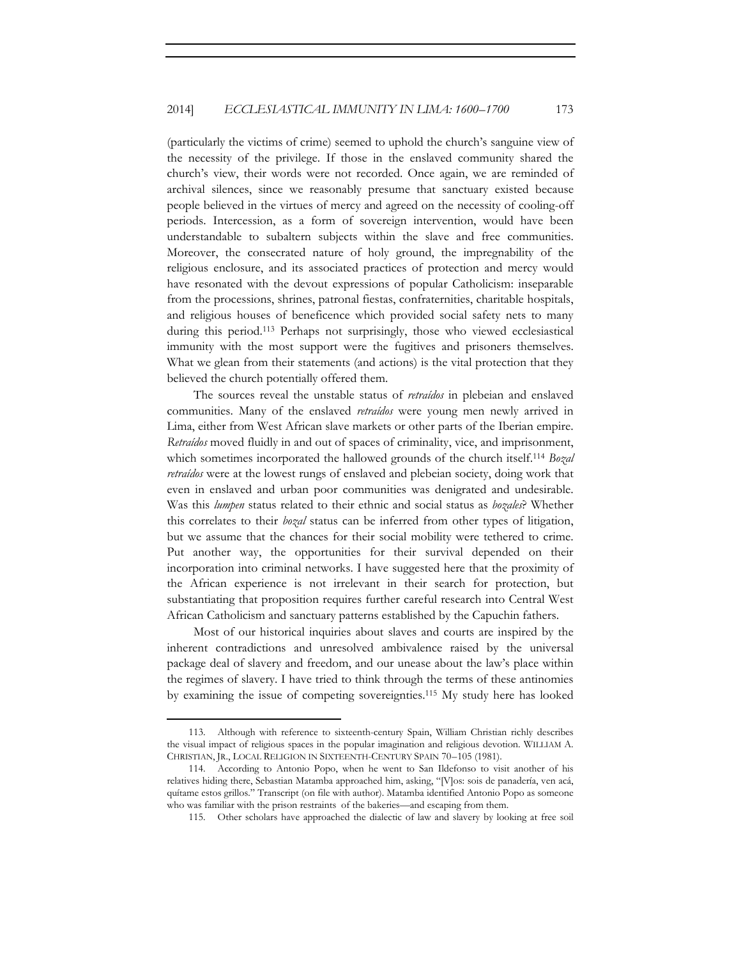(particularly the victims of crime) seemed to uphold the church's sanguine view of the necessity of the privilege. If those in the enslaved community shared the church's view, their words were not recorded. Once again, we are reminded of archival silences, since we reasonably presume that sanctuary existed because people believed in the virtues of mercy and agreed on the necessity of cooling-off periods. Intercession, as a form of sovereign intervention, would have been understandable to subaltern subjects within the slave and free communities. Moreover, the consecrated nature of holy ground, the impregnability of the religious enclosure, and its associated practices of protection and mercy would have resonated with the devout expressions of popular Catholicism: inseparable from the processions, shrines, patronal fiestas, confraternities, charitable hospitals, and religious houses of beneficence which provided social safety nets to many during this period.113 Perhaps not surprisingly, those who viewed ecclesiastical immunity with the most support were the fugitives and prisoners themselves. What we glean from their statements (and actions) is the vital protection that they believed the church potentially offered them.

The sources reveal the unstable status of *retraídos* in plebeian and enslaved communities. Many of the enslaved *retraídos* were young men newly arrived in Lima, either from West African slave markets or other parts of the Iberian empire. *Retraídos* moved fluidly in and out of spaces of criminality, vice, and imprisonment, which sometimes incorporated the hallowed grounds of the church itself.<sup>114</sup> *Bozal retraídos* were at the lowest rungs of enslaved and plebeian society, doing work that even in enslaved and urban poor communities was denigrated and undesirable. Was this *lumpen* status related to their ethnic and social status as *bozales*? Whether this correlates to their *bozal* status can be inferred from other types of litigation, but we assume that the chances for their social mobility were tethered to crime. Put another way, the opportunities for their survival depended on their incorporation into criminal networks. I have suggested here that the proximity of the African experience is not irrelevant in their search for protection, but substantiating that proposition requires further careful research into Central West African Catholicism and sanctuary patterns established by the Capuchin fathers.

Most of our historical inquiries about slaves and courts are inspired by the inherent contradictions and unresolved ambivalence raised by the universal package deal of slavery and freedom, and our unease about the law's place within the regimes of slavery. I have tried to think through the terms of these antinomies by examining the issue of competing sovereignties.115 My study here has looked

<sup>113.</sup> Although with reference to sixteenth-century Spain, William Christian richly describes the visual impact of religious spaces in the popular imagination and religious devotion. WILLIAM A. CHRISTIAN, JR., LOCAL RELIGION IN SIXTEENTH-CENTURY SPAIN 70–105 (1981).

<sup>114.</sup> According to Antonio Popo, when he went to San Ildefonso to visit another of his relatives hiding there, Sebastian Matamba approached him, asking, "[V]os: sois de panadería, ven acá, quítame estos grillos." Transcript (on file with author). Matamba identified Antonio Popo as someone who was familiar with the prison restraints of the bakeries—and escaping from them.

<sup>115.</sup> Other scholars have approached the dialectic of law and slavery by looking at free soil